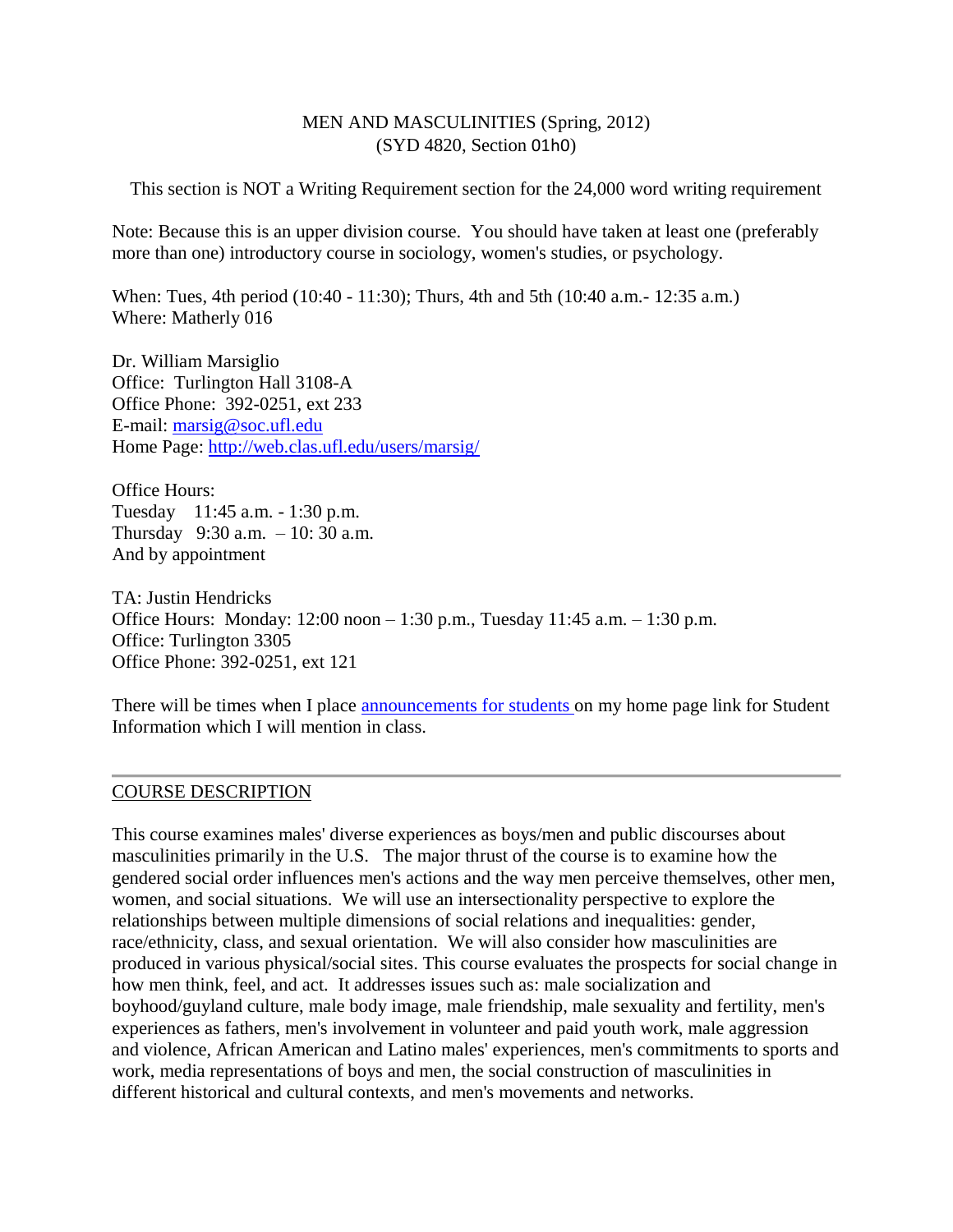#### MEN AND MASCULINITIES (Spring, 2012) (SYD 4820, Section 01h0)

This section is NOT a Writing Requirement section for the 24,000 word writing requirement

Note: Because this is an upper division course. You should have taken at least one (preferably more than one) introductory course in sociology, women's studies, or psychology.

When: Tues, 4th period (10:40 - 11:30); Thurs, 4th and 5th (10:40 a.m.- 12:35 a.m.) Where: Matherly 016

Dr. William Marsiglio Office: Turlington Hall 3108-A Office Phone: 392-0251, ext 233 E-mail: [marsig@soc.ufl.edu](mailto:marsig@soc.ufl.edu) Home Page:<http://web.clas.ufl.edu/users/marsig/>

Office Hours: Tuesday 11:45 a.m. - 1:30 p.m. Thursday 9:30 a.m. – 10: 30 a.m. And by appointment

TA: Justin Hendricks Office Hours: Monday: 12:00 noon – 1:30 p.m., Tuesday 11:45 a.m. – 1:30 p.m. Office: Turlington 3305 Office Phone: 392-0251, ext 121

There will be times when I place [announcements for students o](http://web.clas.ufl.edu/users/marsig/studinfo.html)n my home page link for Student Information which I will mention in class.

#### COURSE DESCRIPTION

This course examines males' diverse experiences as boys/men and public discourses about masculinities primarily in the U.S. The major thrust of the course is to examine how the gendered social order influences men's actions and the way men perceive themselves, other men, women, and social situations. We will use an intersectionality perspective to explore the relationships between multiple dimensions of social relations and inequalities: gender, race/ethnicity, class, and sexual orientation. We will also consider how masculinities are produced in various physical/social sites. This course evaluates the prospects for social change in how men think, feel, and act. It addresses issues such as: male socialization and boyhood/guyland culture, male body image, male friendship, male sexuality and fertility, men's experiences as fathers, men's involvement in volunteer and paid youth work, male aggression and violence, African American and Latino males' experiences, men's commitments to sports and work, media representations of boys and men, the social construction of masculinities in different historical and cultural contexts, and men's movements and networks.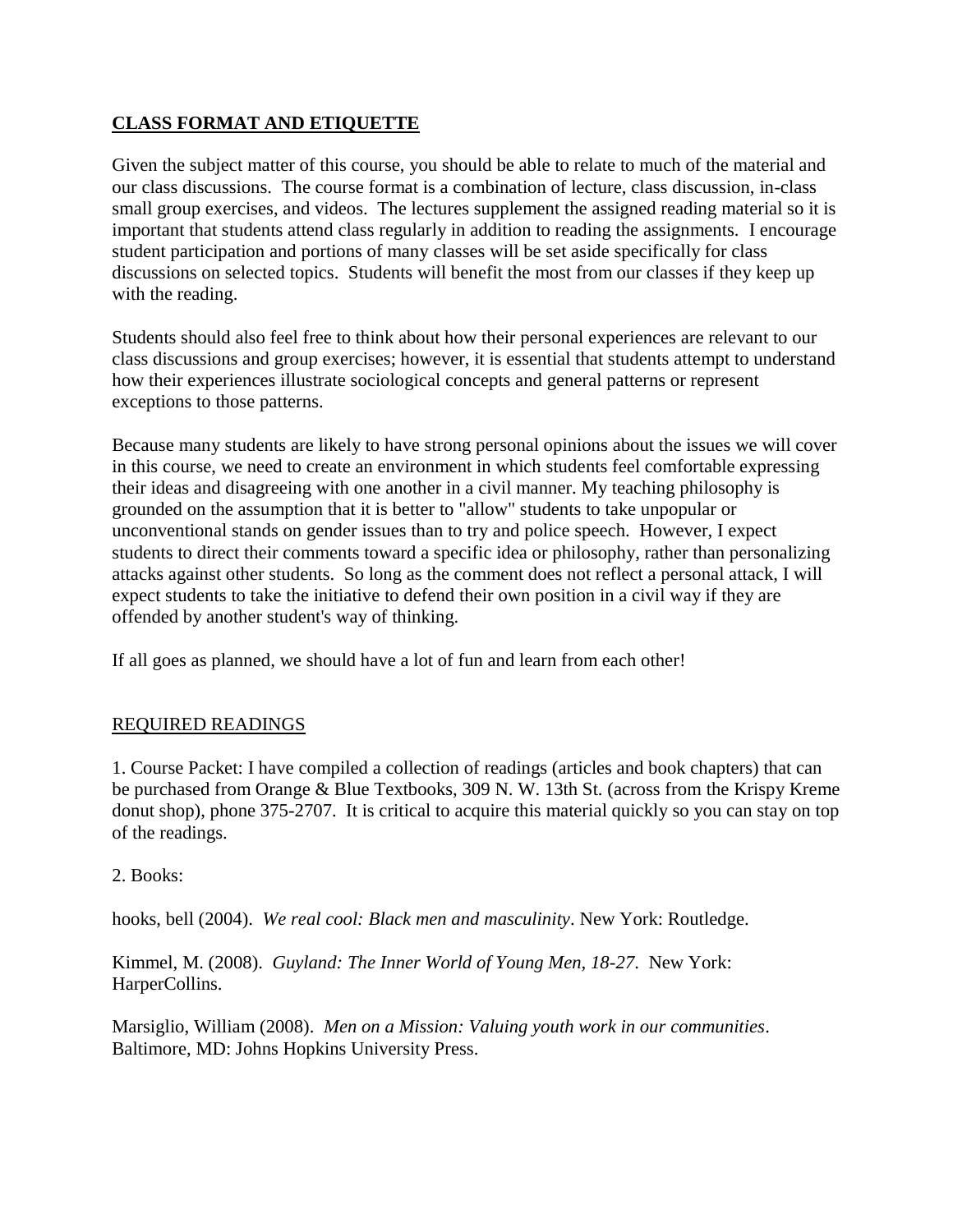# **CLASS FORMAT AND ETIQUETTE**

Given the subject matter of this course, you should be able to relate to much of the material and our class discussions. The course format is a combination of lecture, class discussion, in-class small group exercises, and videos. The lectures supplement the assigned reading material so it is important that students attend class regularly in addition to reading the assignments. I encourage student participation and portions of many classes will be set aside specifically for class discussions on selected topics. Students will benefit the most from our classes if they keep up with the reading.

Students should also feel free to think about how their personal experiences are relevant to our class discussions and group exercises; however, it is essential that students attempt to understand how their experiences illustrate sociological concepts and general patterns or represent exceptions to those patterns.

Because many students are likely to have strong personal opinions about the issues we will cover in this course, we need to create an environment in which students feel comfortable expressing their ideas and disagreeing with one another in a civil manner. My teaching philosophy is grounded on the assumption that it is better to "allow" students to take unpopular or unconventional stands on gender issues than to try and police speech. However, I expect students to direct their comments toward a specific idea or philosophy, rather than personalizing attacks against other students. So long as the comment does not reflect a personal attack, I will expect students to take the initiative to defend their own position in a civil way if they are offended by another student's way of thinking.

If all goes as planned, we should have a lot of fun and learn from each other!

## REQUIRED READINGS

1. Course Packet: I have compiled a collection of readings (articles and book chapters) that can be purchased from Orange & Blue Textbooks, 309 N. W. 13th St. (across from the Krispy Kreme donut shop), phone 375-2707. It is critical to acquire this material quickly so you can stay on top of the readings.

2. Books:

hooks, bell (2004). *We real cool: Black men and masculinity*. New York: Routledge.

Kimmel, M. (2008). *Guyland: The Inner World of Young Men, 18-27*. New York: HarperCollins.

Marsiglio, William (2008). *Men on a Mission: Valuing youth work in our communities*. Baltimore, MD: Johns Hopkins University Press.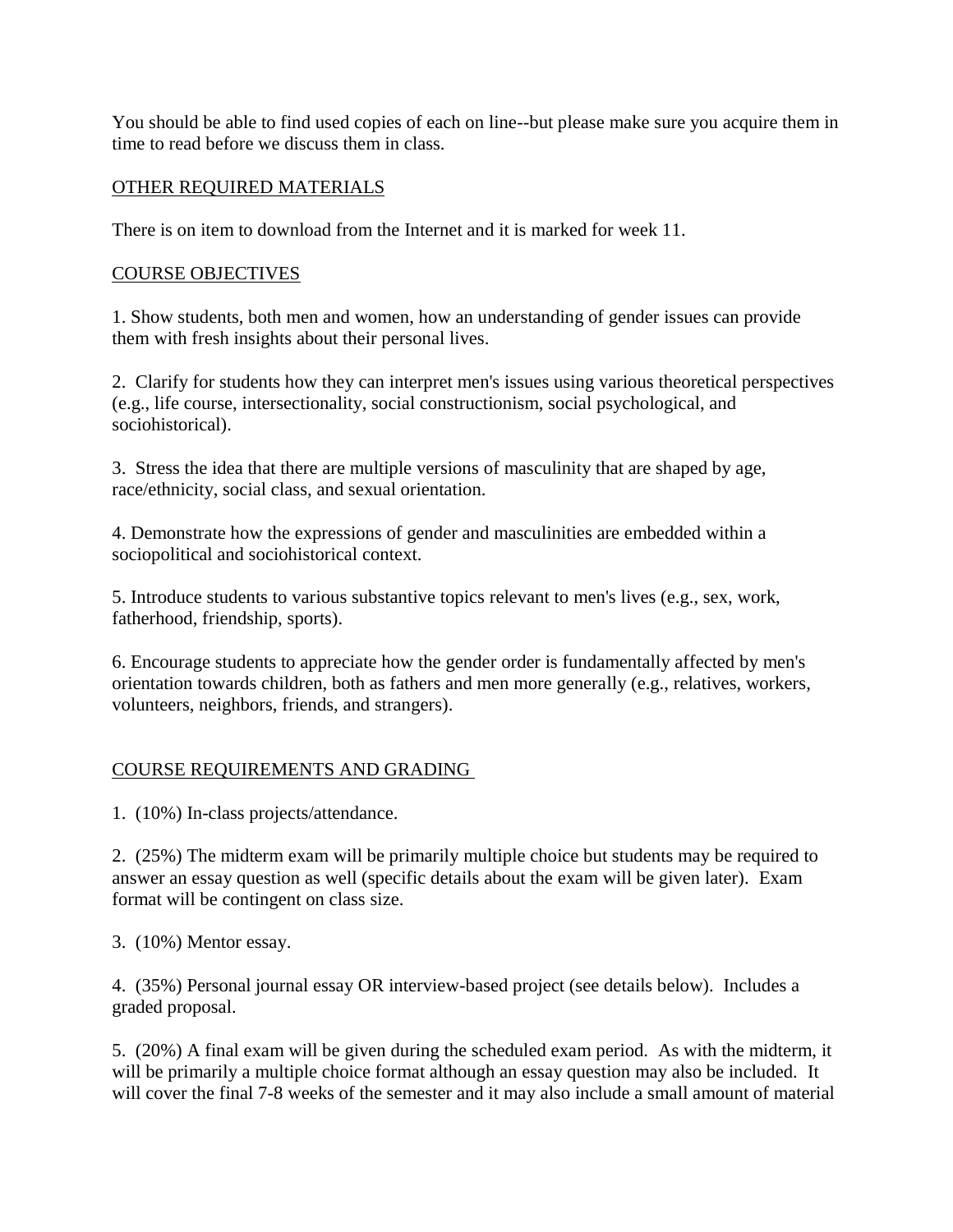You should be able to find used copies of each on line--but please make sure you acquire them in time to read before we discuss them in class.

#### OTHER REQUIRED MATERIALS

There is on item to download from the Internet and it is marked for week 11.

#### COURSE OBJECTIVES

1. Show students, both men and women, how an understanding of gender issues can provide them with fresh insights about their personal lives.

2. Clarify for students how they can interpret men's issues using various theoretical perspectives (e.g., life course, intersectionality, social constructionism, social psychological, and sociohistorical).

3. Stress the idea that there are multiple versions of masculinity that are shaped by age, race/ethnicity, social class, and sexual orientation.

4. Demonstrate how the expressions of gender and masculinities are embedded within a sociopolitical and sociohistorical context.

5. Introduce students to various substantive topics relevant to men's lives (e.g., sex, work, fatherhood, friendship, sports).

6. Encourage students to appreciate how the gender order is fundamentally affected by men's orientation towards children, both as fathers and men more generally (e.g., relatives, workers, volunteers, neighbors, friends, and strangers).

#### COURSE REQUIREMENTS AND GRADING

1. (10%) In-class projects/attendance.

2. (25%) The midterm exam will be primarily multiple choice but students may be required to answer an essay question as well (specific details about the exam will be given later). Exam format will be contingent on class size.

3. (10%) Mentor essay.

4. (35%) Personal journal essay OR interview-based project (see details below). Includes a graded proposal.

5. (20%) A final exam will be given during the scheduled exam period. As with the midterm, it will be primarily a multiple choice format although an essay question may also be included. It will cover the final 7-8 weeks of the semester and it may also include a small amount of material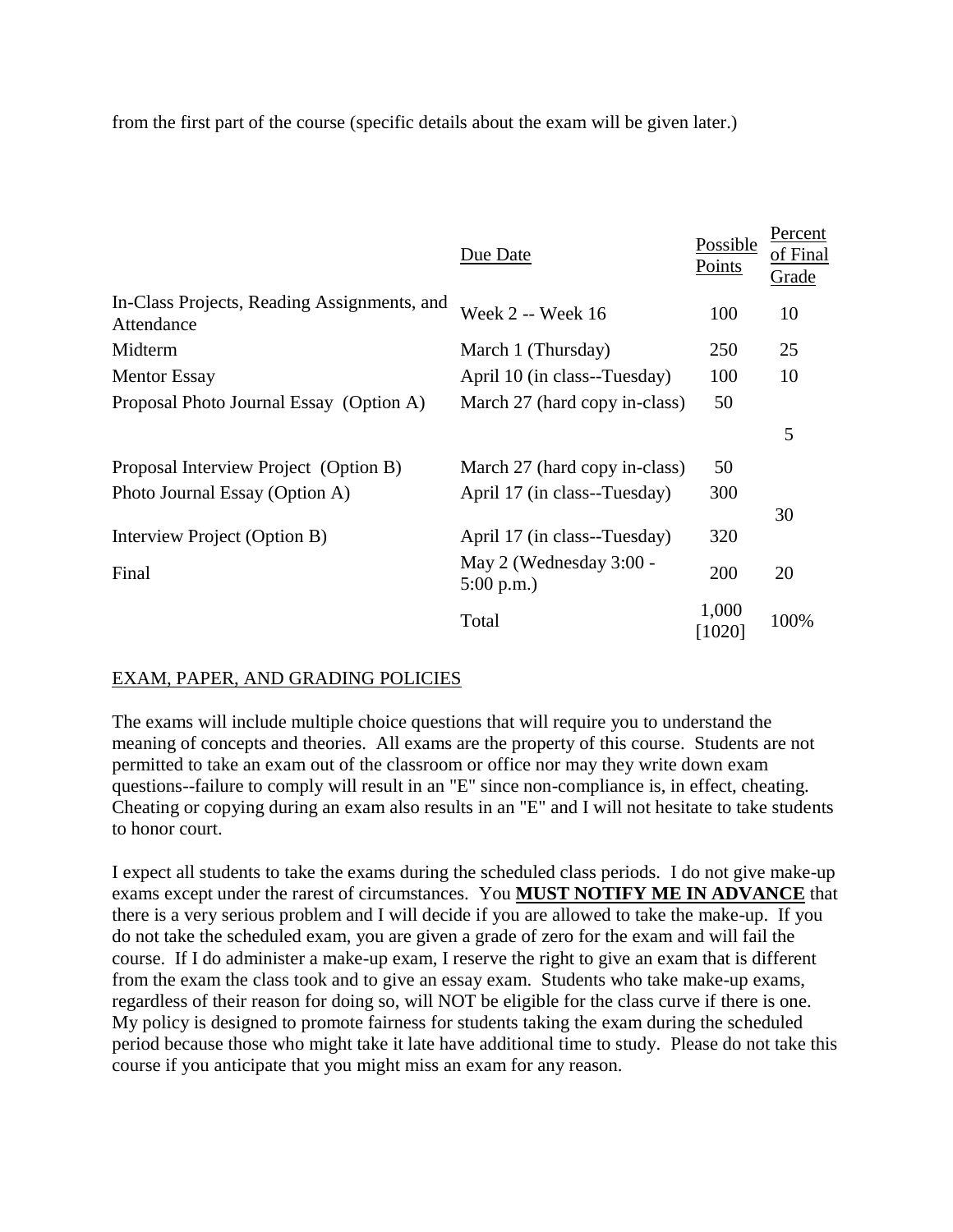from the first part of the course (specific details about the exam will be given later.)

|                                                           | Due Date                                       | Possible<br>Points | Percent<br>of Final<br>Grade |
|-----------------------------------------------------------|------------------------------------------------|--------------------|------------------------------|
| In-Class Projects, Reading Assignments, and<br>Attendance | Week 2 -- Week 16                              | 100                | 10                           |
| Midterm                                                   | March 1 (Thursday)                             | 250                | 25                           |
| <b>Mentor Essay</b>                                       | April 10 (in class--Tuesday)                   | 100                | 10                           |
| Proposal Photo Journal Essay (Option A)                   | March 27 (hard copy in-class)                  | 50                 |                              |
|                                                           |                                                |                    | 5                            |
| Proposal Interview Project (Option B)                     | March 27 (hard copy in-class)                  | 50                 |                              |
| Photo Journal Essay (Option A)                            | April 17 (in class--Tuesday)                   | 300                |                              |
| Interview Project (Option B)                              | April 17 (in class--Tuesday)                   | 320                | 30                           |
| Final                                                     | May 2 (Wednesday 3:00 -<br>$5:00 \text{ p.m.}$ | 200                | 20                           |
|                                                           | Total                                          | 1,000<br>[1020]    | 100%                         |

## EXAM, PAPER, AND GRADING POLICIES

The exams will include multiple choice questions that will require you to understand the meaning of concepts and theories. All exams are the property of this course. Students are not permitted to take an exam out of the classroom or office nor may they write down exam questions--failure to comply will result in an "E" since non-compliance is, in effect, cheating. Cheating or copying during an exam also results in an "E" and I will not hesitate to take students to honor court.

I expect all students to take the exams during the scheduled class periods. I do not give make-up exams except under the rarest of circumstances. You **MUST NOTIFY ME IN ADVANCE** that there is a very serious problem and I will decide if you are allowed to take the make-up. If you do not take the scheduled exam, you are given a grade of zero for the exam and will fail the course. If I do administer a make-up exam, I reserve the right to give an exam that is different from the exam the class took and to give an essay exam. Students who take make-up exams, regardless of their reason for doing so, will NOT be eligible for the class curve if there is one. My policy is designed to promote fairness for students taking the exam during the scheduled period because those who might take it late have additional time to study. Please do not take this course if you anticipate that you might miss an exam for any reason.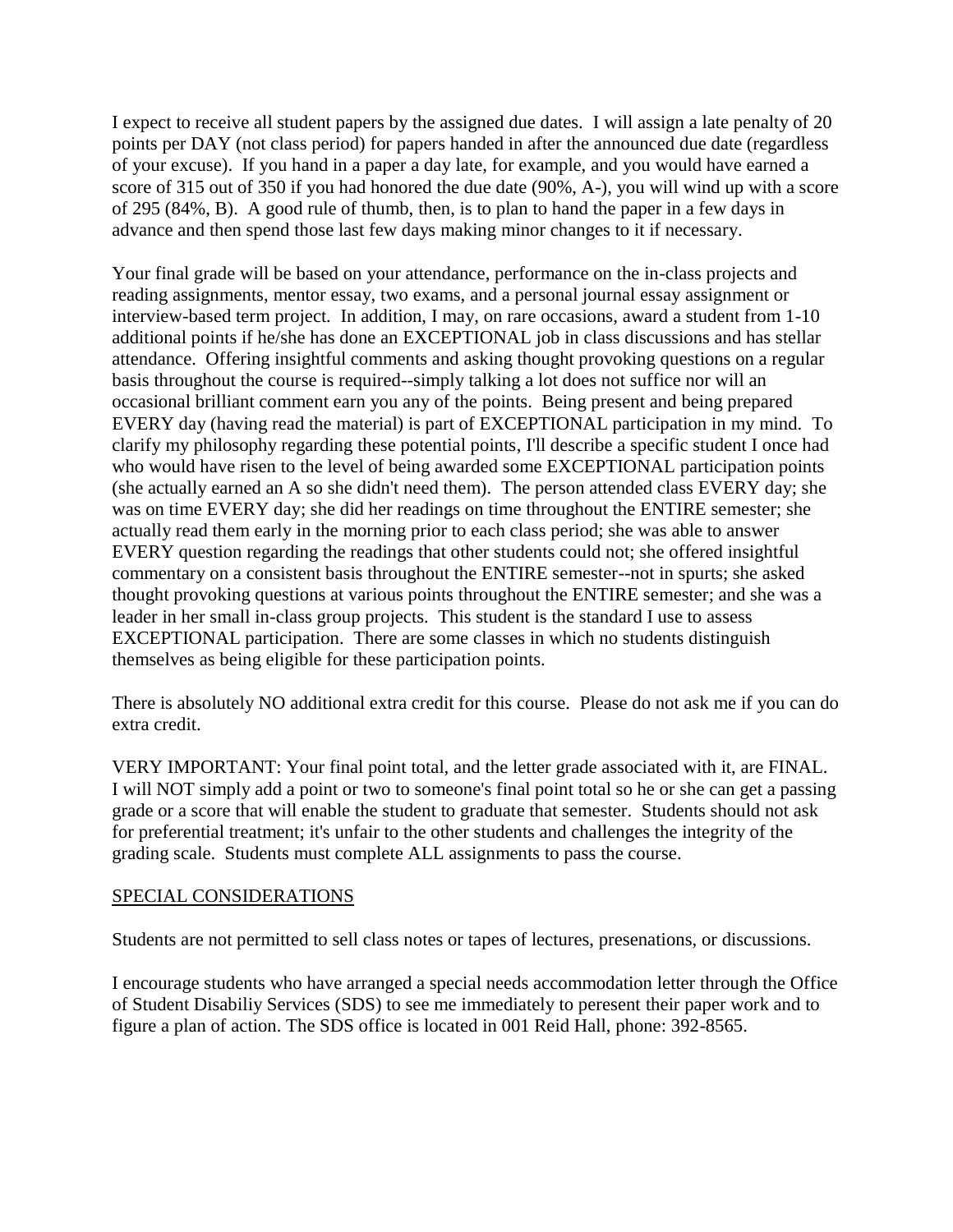I expect to receive all student papers by the assigned due dates. I will assign a late penalty of 20 points per DAY (not class period) for papers handed in after the announced due date (regardless of your excuse). If you hand in a paper a day late, for example, and you would have earned a score of 315 out of 350 if you had honored the due date (90%, A-), you will wind up with a score of 295 (84%, B). A good rule of thumb, then, is to plan to hand the paper in a few days in advance and then spend those last few days making minor changes to it if necessary.

Your final grade will be based on your attendance, performance on the in-class projects and reading assignments, mentor essay, two exams, and a personal journal essay assignment or interview-based term project. In addition, I may, on rare occasions, award a student from 1-10 additional points if he/she has done an EXCEPTIONAL job in class discussions and has stellar attendance. Offering insightful comments and asking thought provoking questions on a regular basis throughout the course is required--simply talking a lot does not suffice nor will an occasional brilliant comment earn you any of the points. Being present and being prepared EVERY day (having read the material) is part of EXCEPTIONAL participation in my mind. To clarify my philosophy regarding these potential points, I'll describe a specific student I once had who would have risen to the level of being awarded some EXCEPTIONAL participation points (she actually earned an A so she didn't need them). The person attended class EVERY day; she was on time EVERY day; she did her readings on time throughout the ENTIRE semester; she actually read them early in the morning prior to each class period; she was able to answer EVERY question regarding the readings that other students could not; she offered insightful commentary on a consistent basis throughout the ENTIRE semester--not in spurts; she asked thought provoking questions at various points throughout the ENTIRE semester; and she was a leader in her small in-class group projects. This student is the standard I use to assess EXCEPTIONAL participation. There are some classes in which no students distinguish themselves as being eligible for these participation points.

There is absolutely NO additional extra credit for this course. Please do not ask me if you can do extra credit.

VERY IMPORTANT: Your final point total, and the letter grade associated with it, are FINAL. I will NOT simply add a point or two to someone's final point total so he or she can get a passing grade or a score that will enable the student to graduate that semester. Students should not ask for preferential treatment; it's unfair to the other students and challenges the integrity of the grading scale. Students must complete ALL assignments to pass the course.

#### SPECIAL CONSIDERATIONS

Students are not permitted to sell class notes or tapes of lectures, presenations, or discussions.

I encourage students who have arranged a special needs accommodation letter through the Office of Student Disabiliy Services (SDS) to see me immediately to peresent their paper work and to figure a plan of action. The SDS office is located in 001 Reid Hall, phone: 392-8565.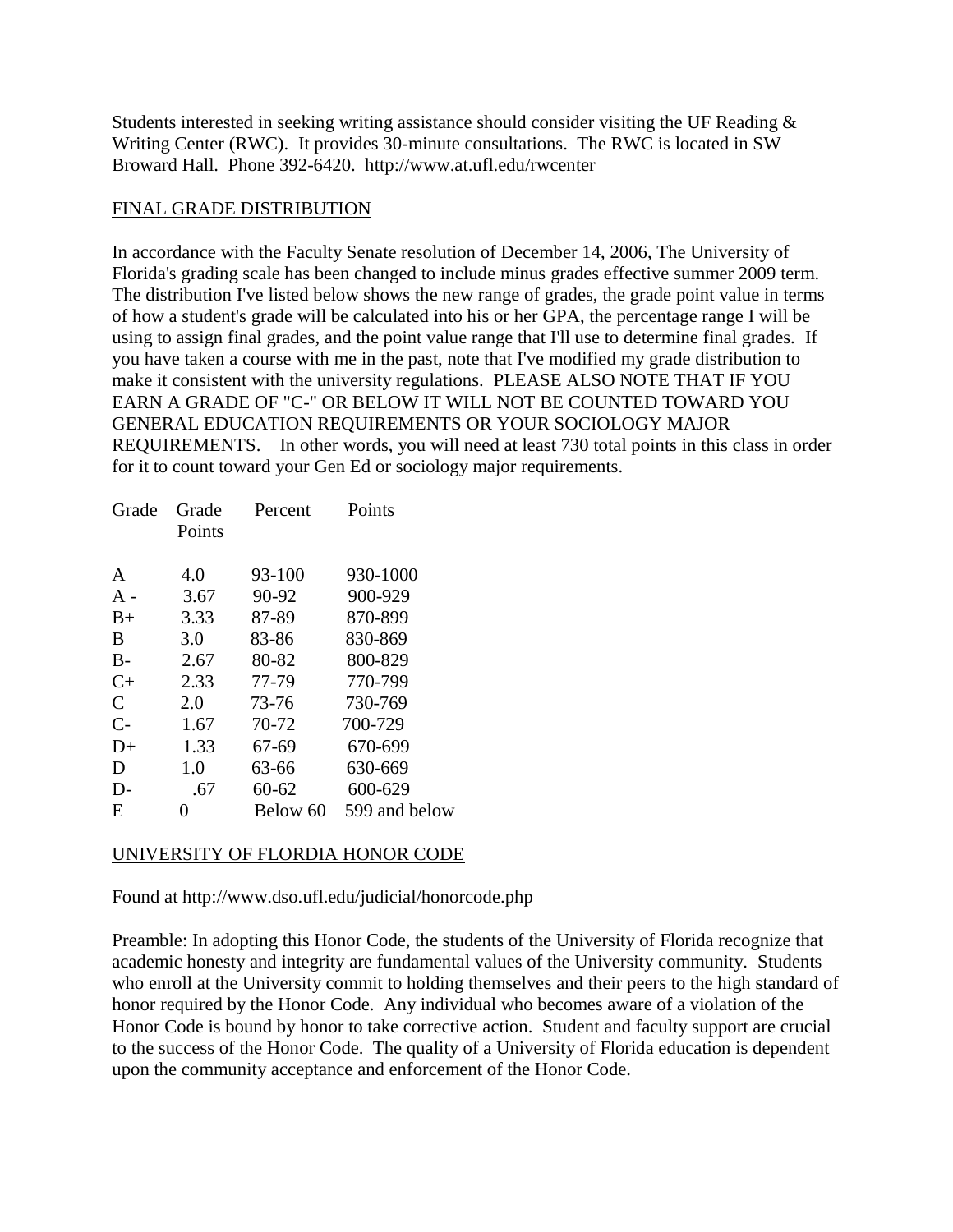Students interested in seeking writing assistance should consider visiting the UF Reading & Writing Center (RWC). It provides 30-minute consultations. The RWC is located in SW Broward Hall. Phone 392-6420. http://www.at.ufl.edu/rwcenter

#### FINAL GRADE DISTRIBUTION

In accordance with the Faculty Senate resolution of December 14, 2006, The University of Florida's grading scale has been changed to include minus grades effective summer 2009 term. The distribution I've listed below shows the new range of grades, the grade point value in terms of how a student's grade will be calculated into his or her GPA, the percentage range I will be using to assign final grades, and the point value range that I'll use to determine final grades. If you have taken a course with me in the past, note that I've modified my grade distribution to make it consistent with the university regulations. PLEASE ALSO NOTE THAT IF YOU EARN A GRADE OF "C-" OR BELOW IT WILL NOT BE COUNTED TOWARD YOU GENERAL EDUCATION REQUIREMENTS OR YOUR SOCIOLOGY MAJOR REQUIREMENTS. In other words, you will need at least 730 total points in this class in order for it to count toward your Gen Ed or sociology major requirements.

| Grade        | Grade  | Percent   | Points        |
|--------------|--------|-----------|---------------|
|              | Points |           |               |
|              |        |           |               |
| A            | 4.0    | 93-100    | 930-1000      |
| $A -$        | 3.67   | 90-92     | 900-929       |
| $B+$         | 3.33   | 87-89     | 870-899       |
| B            | 3.0    | 83-86     | 830-869       |
| $B -$        | 2.67   | 80-82     | 800-829       |
| $C+$         | 2.33   | 77-79     | 770-799       |
| $\mathsf{C}$ | 2.0    | 73-76     | 730-769       |
| $C-$         | 1.67   | 70-72     | 700-729       |
| $D+$         | 1.33   | 67-69     | 670-699       |
| D            | 1.0    | 63-66     | 630-669       |
| D-           | .67    | $60 - 62$ | 600-629       |
| E            | 0      | Below 60  | 599 and below |

## UNIVERSITY OF FLORDIA HONOR CODE

Found at http://www.dso.ufl.edu/judicial/honorcode.php

Preamble: In adopting this Honor Code, the students of the University of Florida recognize that academic honesty and integrity are fundamental values of the University community. Students who enroll at the University commit to holding themselves and their peers to the high standard of honor required by the Honor Code. Any individual who becomes aware of a violation of the Honor Code is bound by honor to take corrective action. Student and faculty support are crucial to the success of the Honor Code. The quality of a University of Florida education is dependent upon the community acceptance and enforcement of the Honor Code.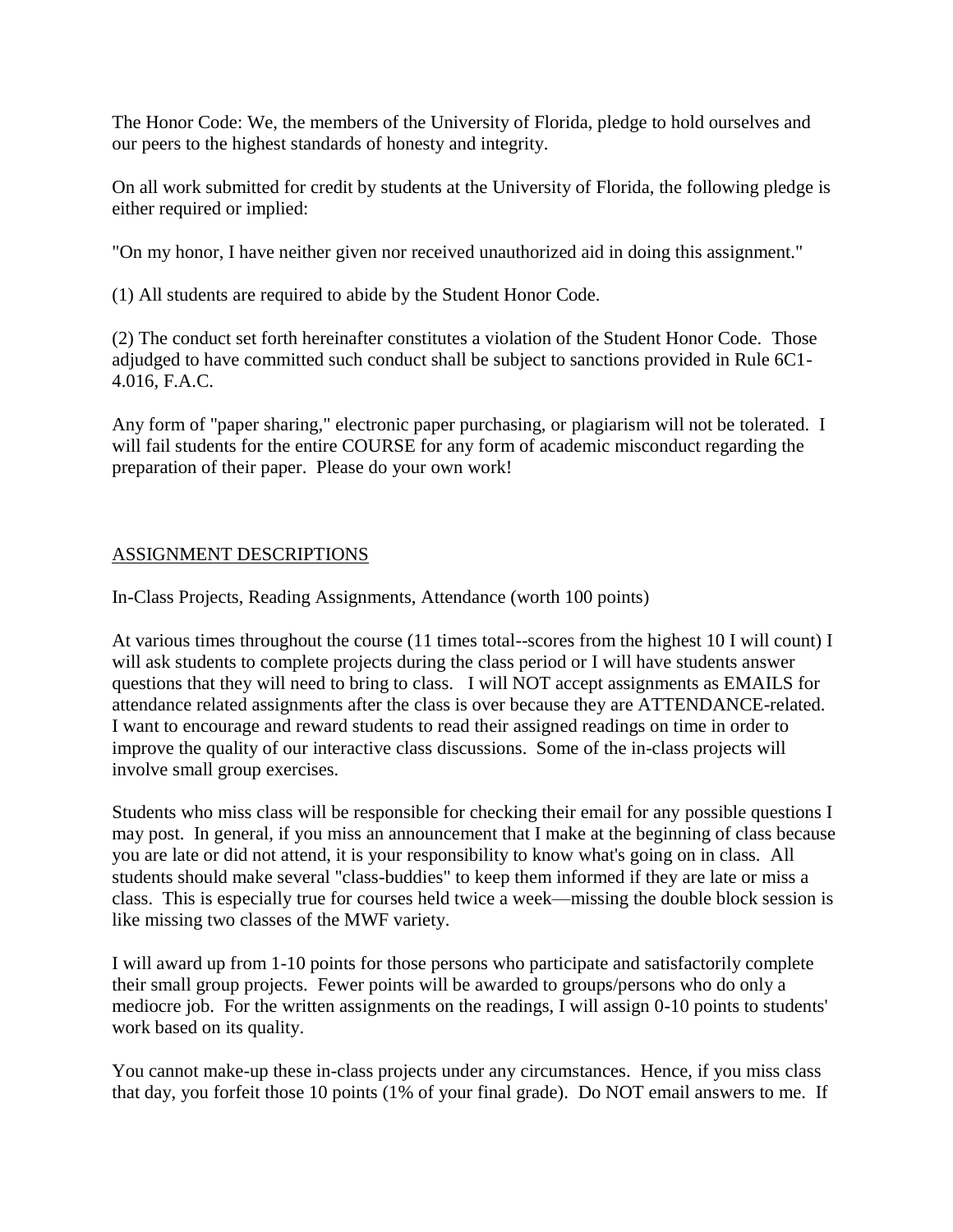The Honor Code: We, the members of the University of Florida, pledge to hold ourselves and our peers to the highest standards of honesty and integrity.

On all work submitted for credit by students at the University of Florida, the following pledge is either required or implied:

"On my honor, I have neither given nor received unauthorized aid in doing this assignment."

(1) All students are required to abide by the Student Honor Code.

(2) The conduct set forth hereinafter constitutes a violation of the Student Honor Code. Those adjudged to have committed such conduct shall be subject to sanctions provided in Rule 6C1- 4.016, F.A.C.

Any form of "paper sharing," electronic paper purchasing, or plagiarism will not be tolerated. I will fail students for the entire COURSE for any form of academic misconduct regarding the preparation of their paper. Please do your own work!

# ASSIGNMENT DESCRIPTIONS

In-Class Projects, Reading Assignments, Attendance (worth 100 points)

At various times throughout the course (11 times total--scores from the highest 10 I will count) I will ask students to complete projects during the class period or I will have students answer questions that they will need to bring to class. I will NOT accept assignments as EMAILS for attendance related assignments after the class is over because they are ATTENDANCE-related. I want to encourage and reward students to read their assigned readings on time in order to improve the quality of our interactive class discussions. Some of the in-class projects will involve small group exercises.

Students who miss class will be responsible for checking their email for any possible questions I may post. In general, if you miss an announcement that I make at the beginning of class because you are late or did not attend, it is your responsibility to know what's going on in class. All students should make several "class-buddies" to keep them informed if they are late or miss a class. This is especially true for courses held twice a week—missing the double block session is like missing two classes of the MWF variety.

I will award up from 1-10 points for those persons who participate and satisfactorily complete their small group projects. Fewer points will be awarded to groups/persons who do only a mediocre job. For the written assignments on the readings, I will assign 0-10 points to students' work based on its quality.

You cannot make-up these in-class projects under any circumstances. Hence, if you miss class that day, you forfeit those 10 points (1% of your final grade). Do NOT email answers to me. If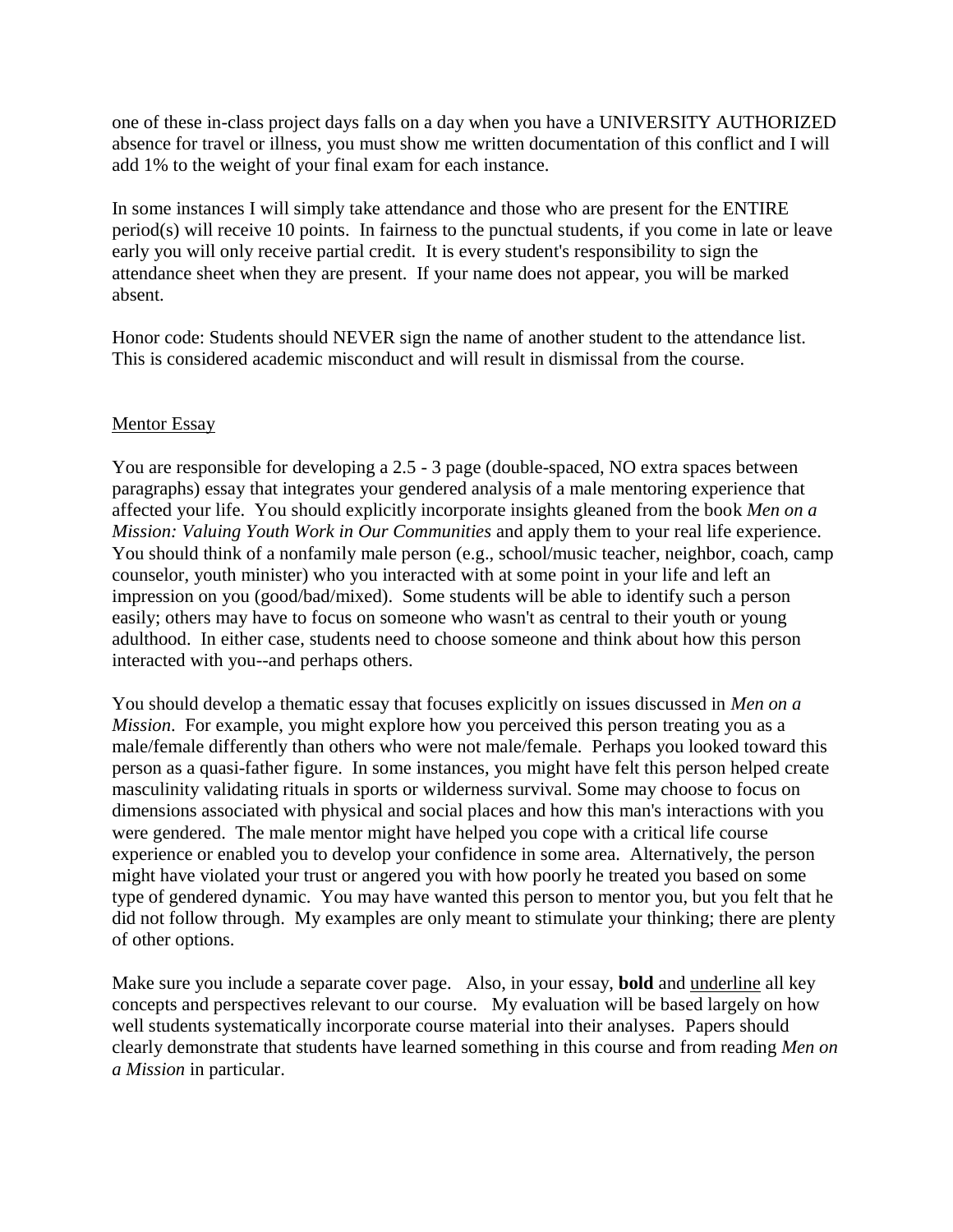one of these in-class project days falls on a day when you have a UNIVERSITY AUTHORIZED absence for travel or illness, you must show me written documentation of this conflict and I will add 1% to the weight of your final exam for each instance.

In some instances I will simply take attendance and those who are present for the ENTIRE period(s) will receive 10 points. In fairness to the punctual students, if you come in late or leave early you will only receive partial credit. It is every student's responsibility to sign the attendance sheet when they are present. If your name does not appear, you will be marked absent.

Honor code: Students should NEVER sign the name of another student to the attendance list. This is considered academic misconduct and will result in dismissal from the course.

#### Mentor Essay

You are responsible for developing a 2.5 - 3 page (double-spaced, NO extra spaces between paragraphs) essay that integrates your gendered analysis of a male mentoring experience that affected your life. You should explicitly incorporate insights gleaned from the book *Men on a Mission: Valuing Youth Work in Our Communities* and apply them to your real life experience. You should think of a nonfamily male person (e.g., school/music teacher, neighbor, coach, camp counselor, youth minister) who you interacted with at some point in your life and left an impression on you (good/bad/mixed). Some students will be able to identify such a person easily; others may have to focus on someone who wasn't as central to their youth or young adulthood. In either case, students need to choose someone and think about how this person interacted with you--and perhaps others.

You should develop a thematic essay that focuses explicitly on issues discussed in *Men on a Mission*. For example, you might explore how you perceived this person treating you as a male/female differently than others who were not male/female. Perhaps you looked toward this person as a quasi-father figure. In some instances, you might have felt this person helped create masculinity validating rituals in sports or wilderness survival. Some may choose to focus on dimensions associated with physical and social places and how this man's interactions with you were gendered. The male mentor might have helped you cope with a critical life course experience or enabled you to develop your confidence in some area. Alternatively, the person might have violated your trust or angered you with how poorly he treated you based on some type of gendered dynamic. You may have wanted this person to mentor you, but you felt that he did not follow through. My examples are only meant to stimulate your thinking; there are plenty of other options.

Make sure you include a separate cover page. Also, in your essay, **bold** and underline all key concepts and perspectives relevant to our course. My evaluation will be based largely on how well students systematically incorporate course material into their analyses. Papers should clearly demonstrate that students have learned something in this course and from reading *Men on a Mission* in particular.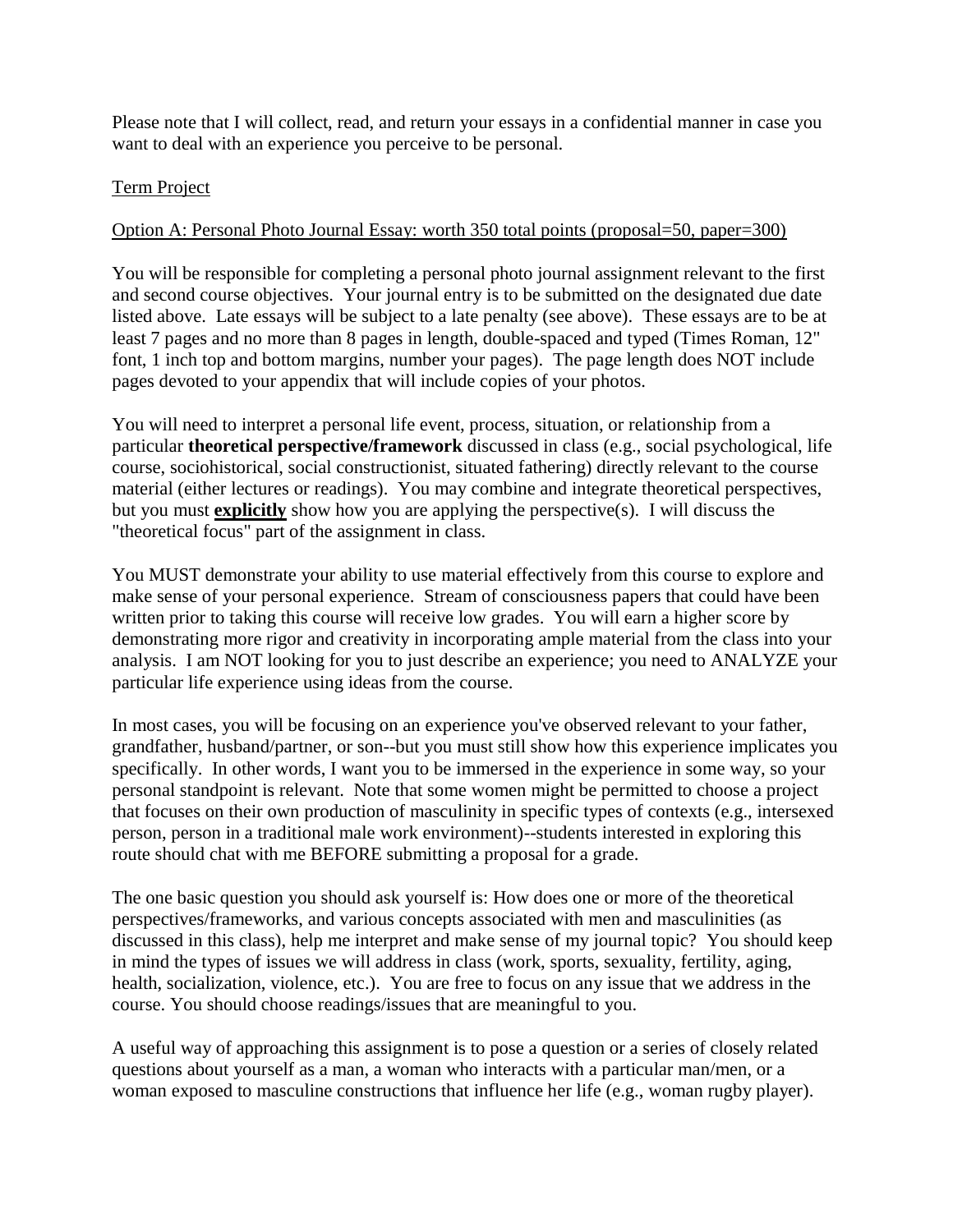Please note that I will collect, read, and return your essays in a confidential manner in case you want to deal with an experience you perceive to be personal.

#### Term Project

#### Option A: Personal Photo Journal Essay: worth 350 total points (proposal=50, paper=300)

You will be responsible for completing a personal photo journal assignment relevant to the first and second course objectives. Your journal entry is to be submitted on the designated due date listed above. Late essays will be subject to a late penalty (see above). These essays are to be at least 7 pages and no more than 8 pages in length, double-spaced and typed (Times Roman, 12" font, 1 inch top and bottom margins, number your pages). The page length does NOT include pages devoted to your appendix that will include copies of your photos.

You will need to interpret a personal life event, process, situation, or relationship from a particular **theoretical perspective/framework** discussed in class (e.g., social psychological, life course, sociohistorical, social constructionist, situated fathering) directly relevant to the course material (either lectures or readings). You may combine and integrate theoretical perspectives, but you must **explicitly** show how you are applying the perspective(s). I will discuss the "theoretical focus" part of the assignment in class.

You MUST demonstrate your ability to use material effectively from this course to explore and make sense of your personal experience. Stream of consciousness papers that could have been written prior to taking this course will receive low grades. You will earn a higher score by demonstrating more rigor and creativity in incorporating ample material from the class into your analysis. I am NOT looking for you to just describe an experience; you need to ANALYZE your particular life experience using ideas from the course.

In most cases, you will be focusing on an experience you've observed relevant to your father, grandfather, husband/partner, or son--but you must still show how this experience implicates you specifically. In other words, I want you to be immersed in the experience in some way, so your personal standpoint is relevant. Note that some women might be permitted to choose a project that focuses on their own production of masculinity in specific types of contexts (e.g., intersexed person, person in a traditional male work environment)--students interested in exploring this route should chat with me BEFORE submitting a proposal for a grade.

The one basic question you should ask yourself is: How does one or more of the theoretical perspectives/frameworks, and various concepts associated with men and masculinities (as discussed in this class), help me interpret and make sense of my journal topic? You should keep in mind the types of issues we will address in class (work, sports, sexuality, fertility, aging, health, socialization, violence, etc.). You are free to focus on any issue that we address in the course. You should choose readings/issues that are meaningful to you.

A useful way of approaching this assignment is to pose a question or a series of closely related questions about yourself as a man, a woman who interacts with a particular man/men, or a woman exposed to masculine constructions that influence her life (e.g., woman rugby player).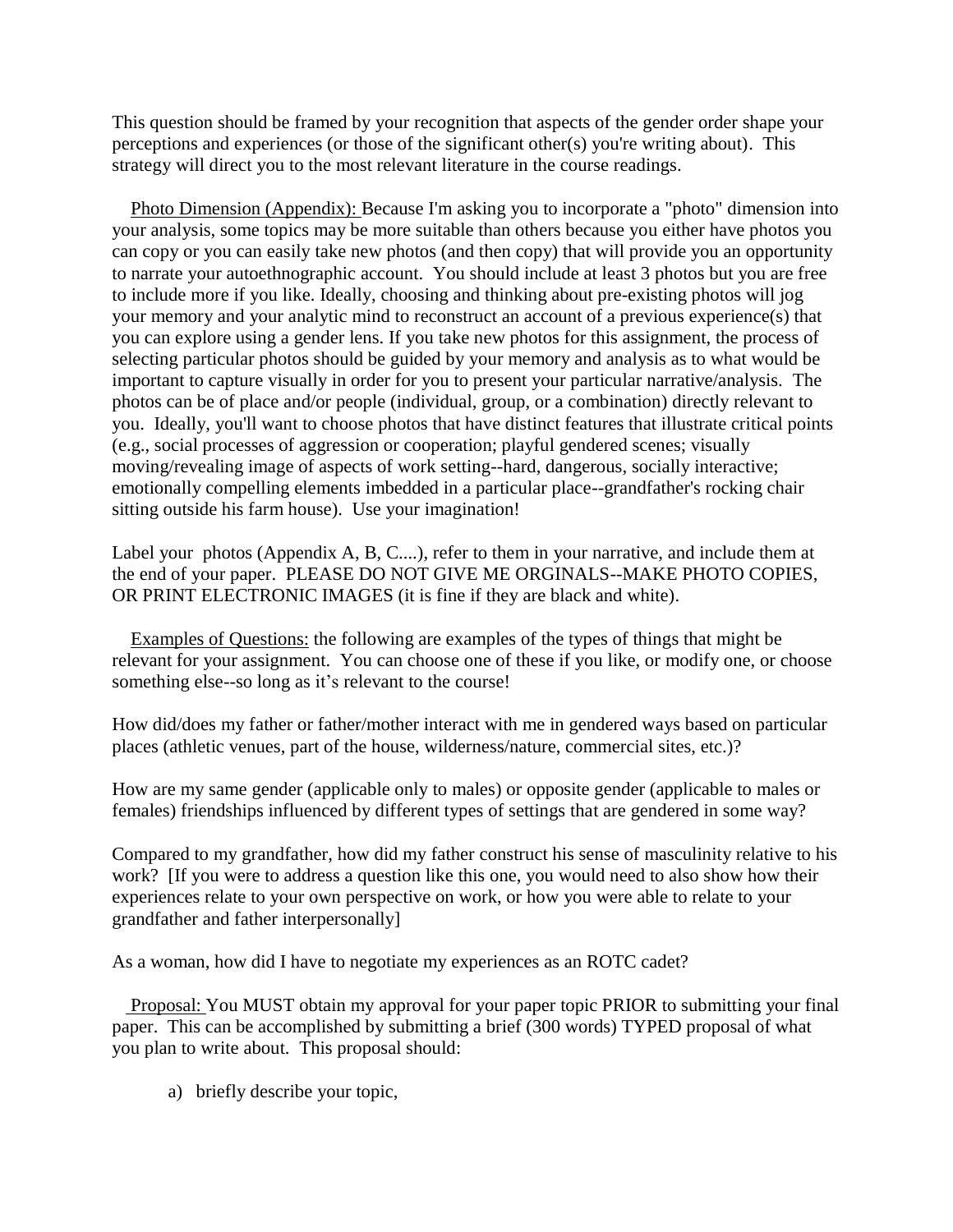This question should be framed by your recognition that aspects of the gender order shape your perceptions and experiences (or those of the significant other(s) you're writing about). This strategy will direct you to the most relevant literature in the course readings.

 Photo Dimension (Appendix): Because I'm asking you to incorporate a "photo" dimension into your analysis, some topics may be more suitable than others because you either have photos you can copy or you can easily take new photos (and then copy) that will provide you an opportunity to narrate your autoethnographic account. You should include at least 3 photos but you are free to include more if you like. Ideally, choosing and thinking about pre-existing photos will jog your memory and your analytic mind to reconstruct an account of a previous experience(s) that you can explore using a gender lens. If you take new photos for this assignment, the process of selecting particular photos should be guided by your memory and analysis as to what would be important to capture visually in order for you to present your particular narrative/analysis. The photos can be of place and/or people (individual, group, or a combination) directly relevant to you. Ideally, you'll want to choose photos that have distinct features that illustrate critical points (e.g., social processes of aggression or cooperation; playful gendered scenes; visually moving/revealing image of aspects of work setting--hard, dangerous, socially interactive; emotionally compelling elements imbedded in a particular place--grandfather's rocking chair sitting outside his farm house). Use your imagination!

Label your photos (Appendix A, B, C....), refer to them in your narrative, and include them at the end of your paper. PLEASE DO NOT GIVE ME ORGINALS--MAKE PHOTO COPIES, OR PRINT ELECTRONIC IMAGES (it is fine if they are black and white).

 Examples of Questions: the following are examples of the types of things that might be relevant for your assignment. You can choose one of these if you like, or modify one, or choose something else--so long as it's relevant to the course!

How did/does my father or father/mother interact with me in gendered ways based on particular places (athletic venues, part of the house, wilderness/nature, commercial sites, etc.)?

How are my same gender (applicable only to males) or opposite gender (applicable to males or females) friendships influenced by different types of settings that are gendered in some way?

Compared to my grandfather, how did my father construct his sense of masculinity relative to his work? [If you were to address a question like this one, you would need to also show how their experiences relate to your own perspective on work, or how you were able to relate to your grandfather and father interpersonally]

As a woman, how did I have to negotiate my experiences as an ROTC cadet?

 Proposal: You MUST obtain my approval for your paper topic PRIOR to submitting your final paper. This can be accomplished by submitting a brief (300 words) TYPED proposal of what you plan to write about. This proposal should:

a) briefly describe your topic,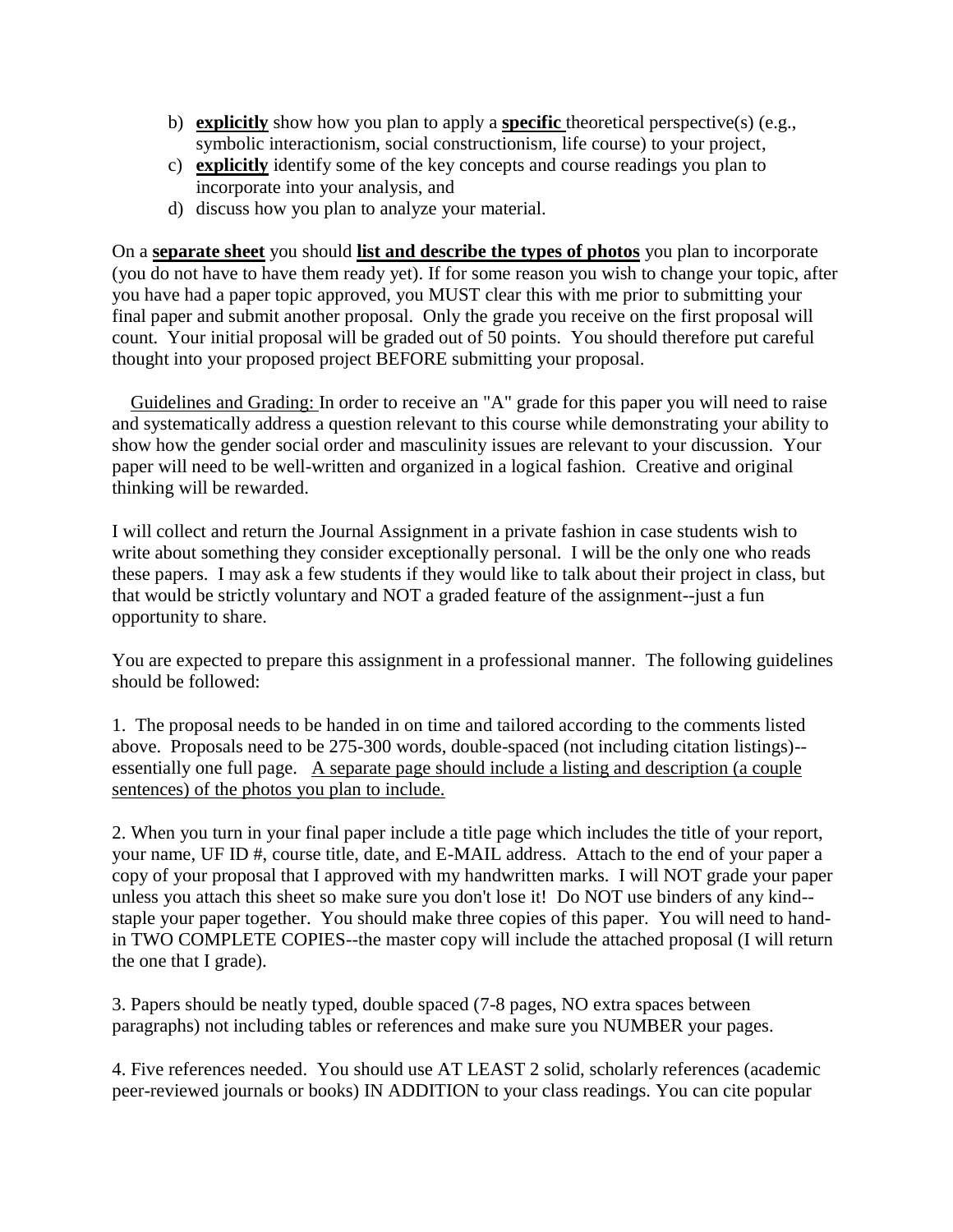- b) **explicitly** show how you plan to apply a **specific** theoretical perspective(s) (e.g., symbolic interactionism, social constructionism, life course) to your project,
- c) **explicitly** identify some of the key concepts and course readings you plan to incorporate into your analysis, and
- d) discuss how you plan to analyze your material.

On a **separate sheet** you should **list and describe the types of photos** you plan to incorporate (you do not have to have them ready yet). If for some reason you wish to change your topic, after you have had a paper topic approved, you MUST clear this with me prior to submitting your final paper and submit another proposal. Only the grade you receive on the first proposal will count. Your initial proposal will be graded out of 50 points. You should therefore put careful thought into your proposed project BEFORE submitting your proposal.

 Guidelines and Grading: In order to receive an "A" grade for this paper you will need to raise and systematically address a question relevant to this course while demonstrating your ability to show how the gender social order and masculinity issues are relevant to your discussion. Your paper will need to be well-written and organized in a logical fashion. Creative and original thinking will be rewarded.

I will collect and return the Journal Assignment in a private fashion in case students wish to write about something they consider exceptionally personal. I will be the only one who reads these papers. I may ask a few students if they would like to talk about their project in class, but that would be strictly voluntary and NOT a graded feature of the assignment--just a fun opportunity to share.

You are expected to prepare this assignment in a professional manner. The following guidelines should be followed:

1. The proposal needs to be handed in on time and tailored according to the comments listed above. Proposals need to be 275-300 words, double-spaced (not including citation listings)- essentially one full page. A separate page should include a listing and description (a couple sentences) of the photos you plan to include.

2. When you turn in your final paper include a title page which includes the title of your report, your name, UF ID #, course title, date, and E-MAIL address. Attach to the end of your paper a copy of your proposal that I approved with my handwritten marks. I will NOT grade your paper unless you attach this sheet so make sure you don't lose it! Do NOT use binders of any kind- staple your paper together. You should make three copies of this paper. You will need to handin TWO COMPLETE COPIES--the master copy will include the attached proposal (I will return the one that I grade).

3. Papers should be neatly typed, double spaced (7-8 pages, NO extra spaces between paragraphs) not including tables or references and make sure you NUMBER your pages.

4. Five references needed. You should use AT LEAST 2 solid, scholarly references (academic peer-reviewed journals or books) IN ADDITION to your class readings. You can cite popular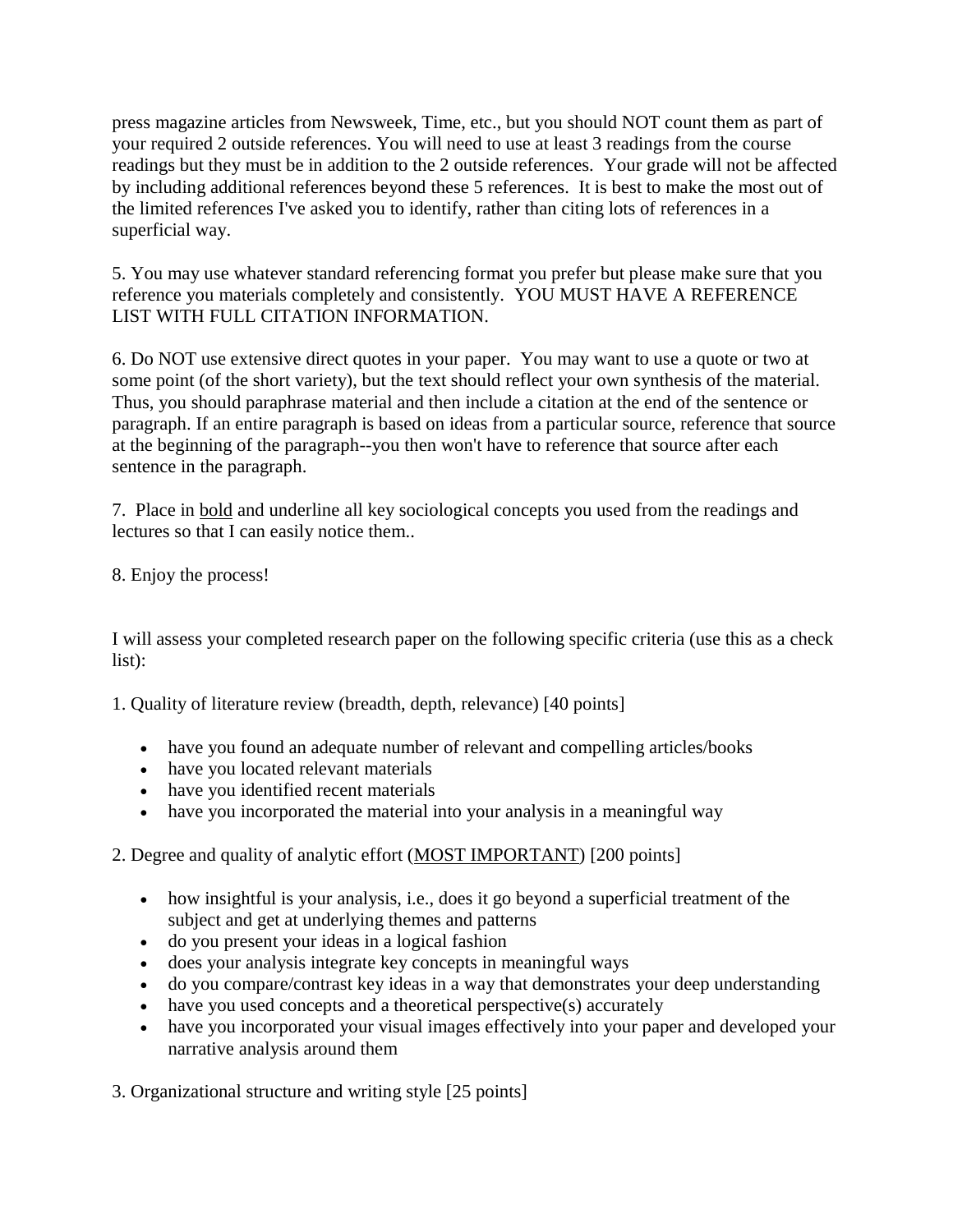press magazine articles from Newsweek, Time, etc., but you should NOT count them as part of your required 2 outside references. You will need to use at least 3 readings from the course readings but they must be in addition to the 2 outside references. Your grade will not be affected by including additional references beyond these 5 references. It is best to make the most out of the limited references I've asked you to identify, rather than citing lots of references in a superficial way.

5. You may use whatever standard referencing format you prefer but please make sure that you reference you materials completely and consistently. YOU MUST HAVE A REFERENCE LIST WITH FULL CITATION INFORMATION.

6. Do NOT use extensive direct quotes in your paper. You may want to use a quote or two at some point (of the short variety), but the text should reflect your own synthesis of the material. Thus, you should paraphrase material and then include a citation at the end of the sentence or paragraph. If an entire paragraph is based on ideas from a particular source, reference that source at the beginning of the paragraph--you then won't have to reference that source after each sentence in the paragraph.

7. Place in bold and underline all key sociological concepts you used from the readings and lectures so that I can easily notice them..

8. Enjoy the process!

I will assess your completed research paper on the following specific criteria (use this as a check list):

1. Quality of literature review (breadth, depth, relevance) [40 points]

- have you found an adequate number of relevant and compelling articles/books
- have you located relevant materials
- have you identified recent materials
- have you incorporated the material into your analysis in a meaningful way

# 2. Degree and quality of analytic effort (MOST IMPORTANT) [200 points]

- how insightful is your analysis, i.e., does it go beyond a superficial treatment of the subject and get at underlying themes and patterns
- do you present your ideas in a logical fashion
- does your analysis integrate key concepts in meaningful ways
- do you compare/contrast key ideas in a way that demonstrates your deep understanding
- have you used concepts and a theoretical perspective(s) accurately
- have you incorporated your visual images effectively into your paper and developed your narrative analysis around them

3. Organizational structure and writing style [25 points]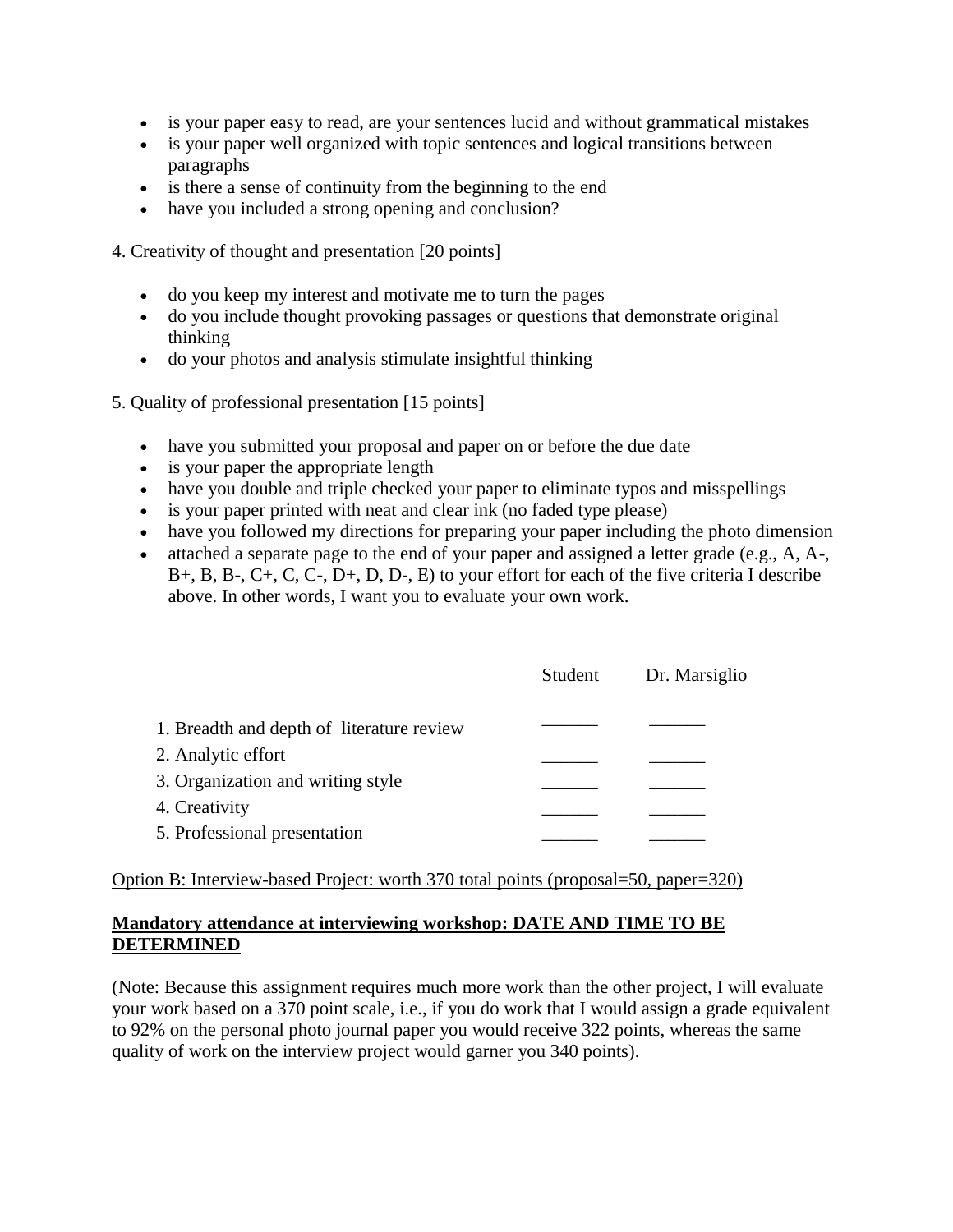- is your paper easy to read, are your sentences lucid and without grammatical mistakes
- is your paper well organized with topic sentences and logical transitions between paragraphs
- is there a sense of continuity from the beginning to the end
- have you included a strong opening and conclusion?

4. Creativity of thought and presentation [20 points]

- do you keep my interest and motivate me to turn the pages
- do you include thought provoking passages or questions that demonstrate original thinking
- do your photos and analysis stimulate insightful thinking

5. Quality of professional presentation [15 points]

- have you submitted your proposal and paper on or before the due date
- is your paper the appropriate length
- have you double and triple checked your paper to eliminate typos and misspellings
- is your paper printed with neat and clear ink (no faded type please)
- have you followed my directions for preparing your paper including the photo dimension
- attached a separate page to the end of your paper and assigned a letter grade (e.g., A, A-, B+, B, B-, C+, C, C-, D+, D, D-, E) to your effort for each of the five criteria I describe above. In other words, I want you to evaluate your own work.

|                                           | Student | Dr. Marsiglio |
|-------------------------------------------|---------|---------------|
| 1. Breadth and depth of literature review |         |               |
| 2. Analytic effort                        |         |               |
| 3. Organization and writing style         |         |               |
| 4. Creativity                             |         |               |
| 5. Professional presentation              |         |               |

Option B: Interview-based Project: worth 370 total points (proposal=50, paper=320)

## **Mandatory attendance at interviewing workshop: DATE AND TIME TO BE DETERMINED**

(Note: Because this assignment requires much more work than the other project, I will evaluate your work based on a 370 point scale, i.e., if you do work that I would assign a grade equivalent to 92% on the personal photo journal paper you would receive 322 points, whereas the same quality of work on the interview project would garner you 340 points).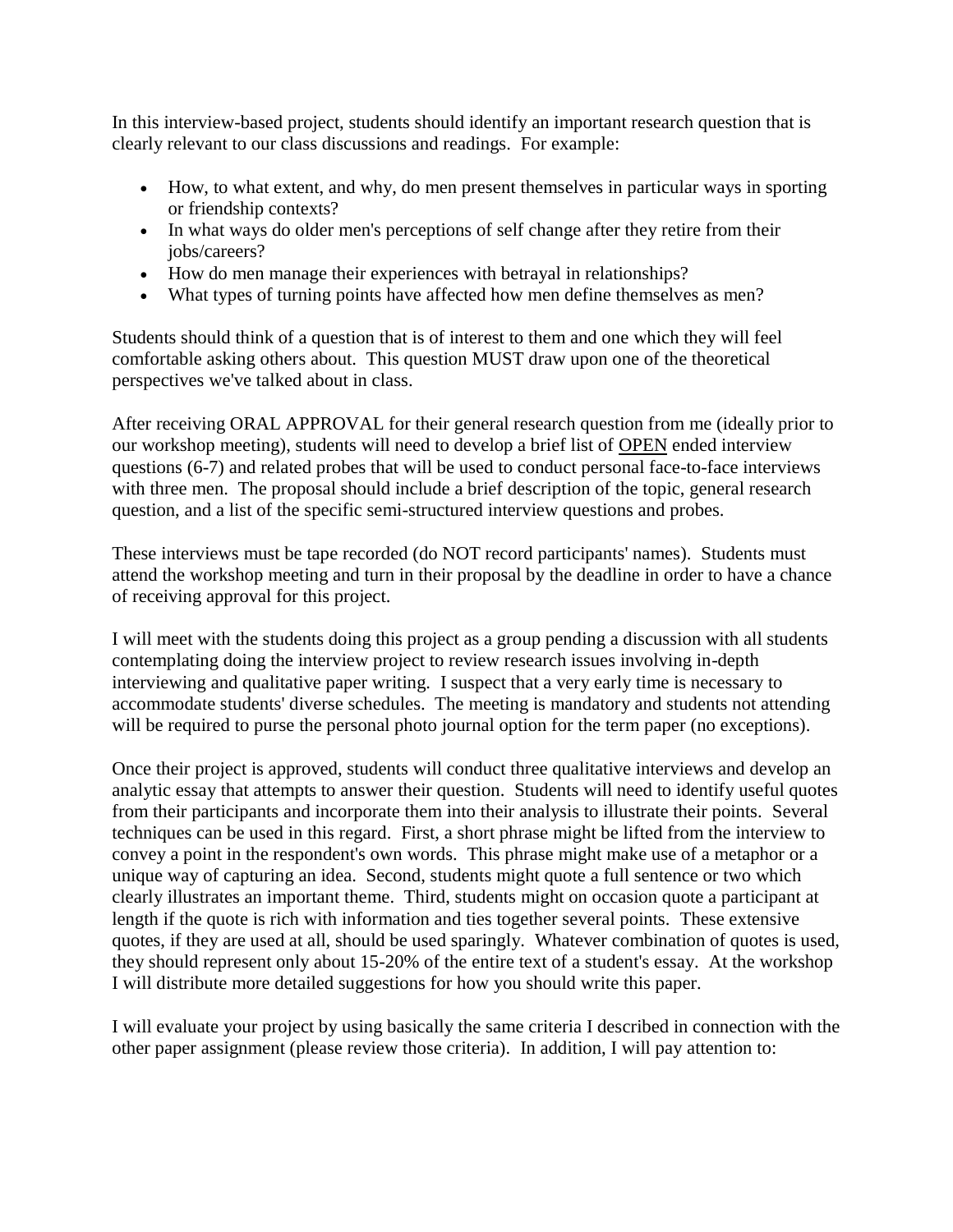In this interview-based project, students should identify an important research question that is clearly relevant to our class discussions and readings. For example:

- How, to what extent, and why, do men present themselves in particular ways in sporting or friendship contexts?
- In what ways do older men's perceptions of self change after they retire from their jobs/careers?
- How do men manage their experiences with betrayal in relationships?
- What types of turning points have affected how men define themselves as men?

Students should think of a question that is of interest to them and one which they will feel comfortable asking others about. This question MUST draw upon one of the theoretical perspectives we've talked about in class.

After receiving ORAL APPROVAL for their general research question from me (ideally prior to our workshop meeting), students will need to develop a brief list of OPEN ended interview questions (6-7) and related probes that will be used to conduct personal face-to-face interviews with three men. The proposal should include a brief description of the topic, general research question, and a list of the specific semi-structured interview questions and probes.

These interviews must be tape recorded (do NOT record participants' names). Students must attend the workshop meeting and turn in their proposal by the deadline in order to have a chance of receiving approval for this project.

I will meet with the students doing this project as a group pending a discussion with all students contemplating doing the interview project to review research issues involving in-depth interviewing and qualitative paper writing. I suspect that a very early time is necessary to accommodate students' diverse schedules. The meeting is mandatory and students not attending will be required to purse the personal photo journal option for the term paper (no exceptions).

Once their project is approved, students will conduct three qualitative interviews and develop an analytic essay that attempts to answer their question. Students will need to identify useful quotes from their participants and incorporate them into their analysis to illustrate their points. Several techniques can be used in this regard. First, a short phrase might be lifted from the interview to convey a point in the respondent's own words. This phrase might make use of a metaphor or a unique way of capturing an idea. Second, students might quote a full sentence or two which clearly illustrates an important theme. Third, students might on occasion quote a participant at length if the quote is rich with information and ties together several points. These extensive quotes, if they are used at all, should be used sparingly. Whatever combination of quotes is used, they should represent only about 15-20% of the entire text of a student's essay. At the workshop I will distribute more detailed suggestions for how you should write this paper.

I will evaluate your project by using basically the same criteria I described in connection with the other paper assignment (please review those criteria). In addition, I will pay attention to: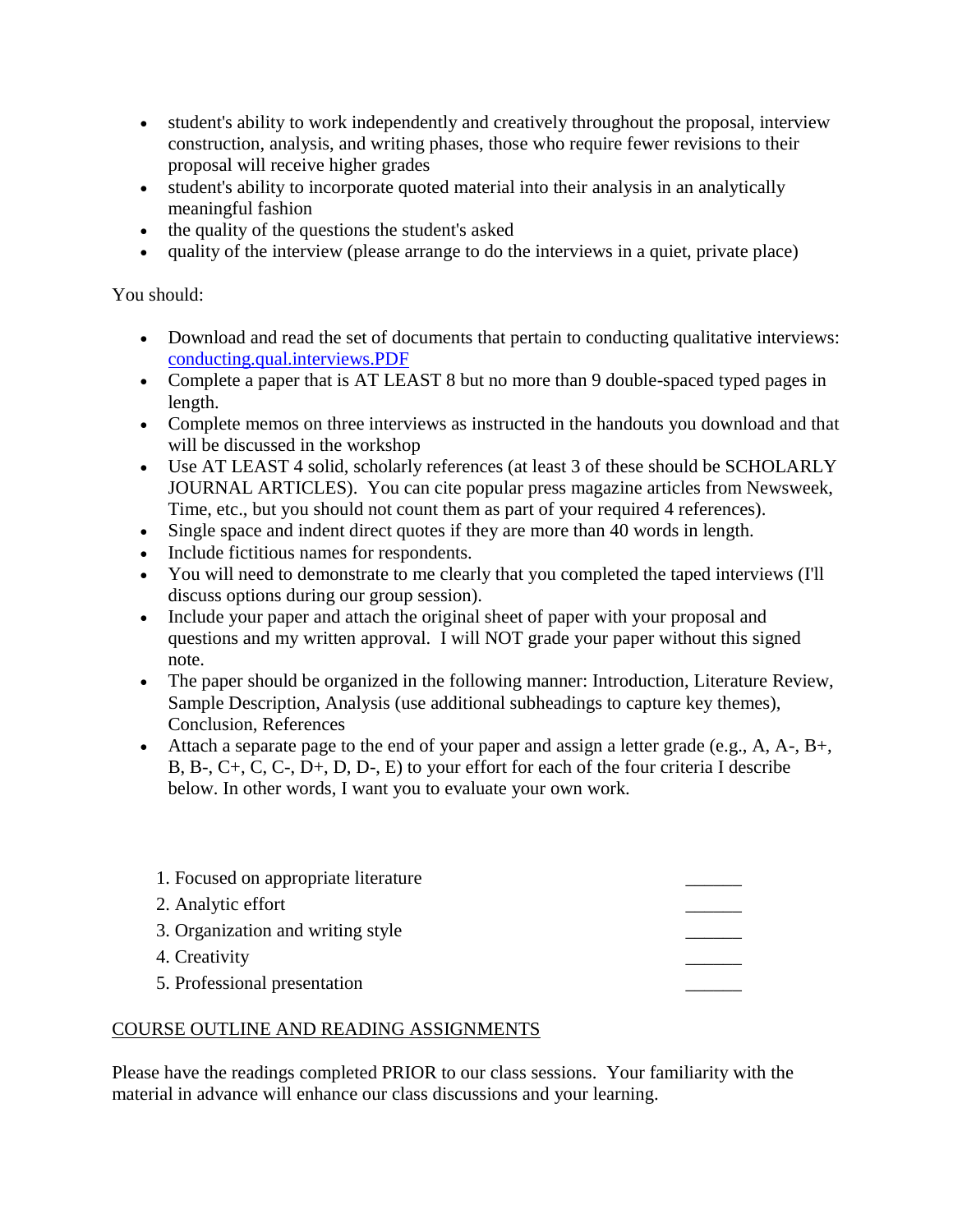- student's ability to work independently and creatively throughout the proposal, interview construction, analysis, and writing phases, those who require fewer revisions to their proposal will receive higher grades
- student's ability to incorporate quoted material into their analysis in an analytically meaningful fashion
- the quality of the questions the student's asked
- quality of the interview (please arrange to do the interviews in a quiet, private place)

## You should:

- Download and read the set of documents that pertain to conducting qualitative interviews: [conducting.qual.interviews.PDF](http://web.clas.ufl.edu/users/marsig/conducting.qual.interviews.PDF)
- Complete a paper that is AT LEAST 8 but no more than 9 double-spaced typed pages in length.
- Complete memos on three interviews as instructed in the handouts you download and that will be discussed in the workshop
- Use AT LEAST 4 solid, scholarly references (at least 3 of these should be SCHOLARLY JOURNAL ARTICLES). You can cite popular press magazine articles from Newsweek, Time, etc., but you should not count them as part of your required 4 references).
- Single space and indent direct quotes if they are more than 40 words in length.
- Include fictitious names for respondents.
- You will need to demonstrate to me clearly that you completed the taped interviews (I'll discuss options during our group session).
- Include your paper and attach the original sheet of paper with your proposal and questions and my written approval. I will NOT grade your paper without this signed note.
- The paper should be organized in the following manner: Introduction, Literature Review, Sample Description, Analysis (use additional subheadings to capture key themes), Conclusion, References
- Attach a separate page to the end of your paper and assign a letter grade (e.g., A, A-, B+, B, B-, C+, C, C-, D+, D, D-, E) to your effort for each of the four criteria I describe below. In other words, I want you to evaluate your own work.

| 1. Focused on appropriate literature |  |
|--------------------------------------|--|
| 2. Analytic effort                   |  |
| 3. Organization and writing style    |  |
| 4. Creativity                        |  |
| 5. Professional presentation         |  |

## COURSE OUTLINE AND READING ASSIGNMENTS

Please have the readings completed PRIOR to our class sessions. Your familiarity with the material in advance will enhance our class discussions and your learning.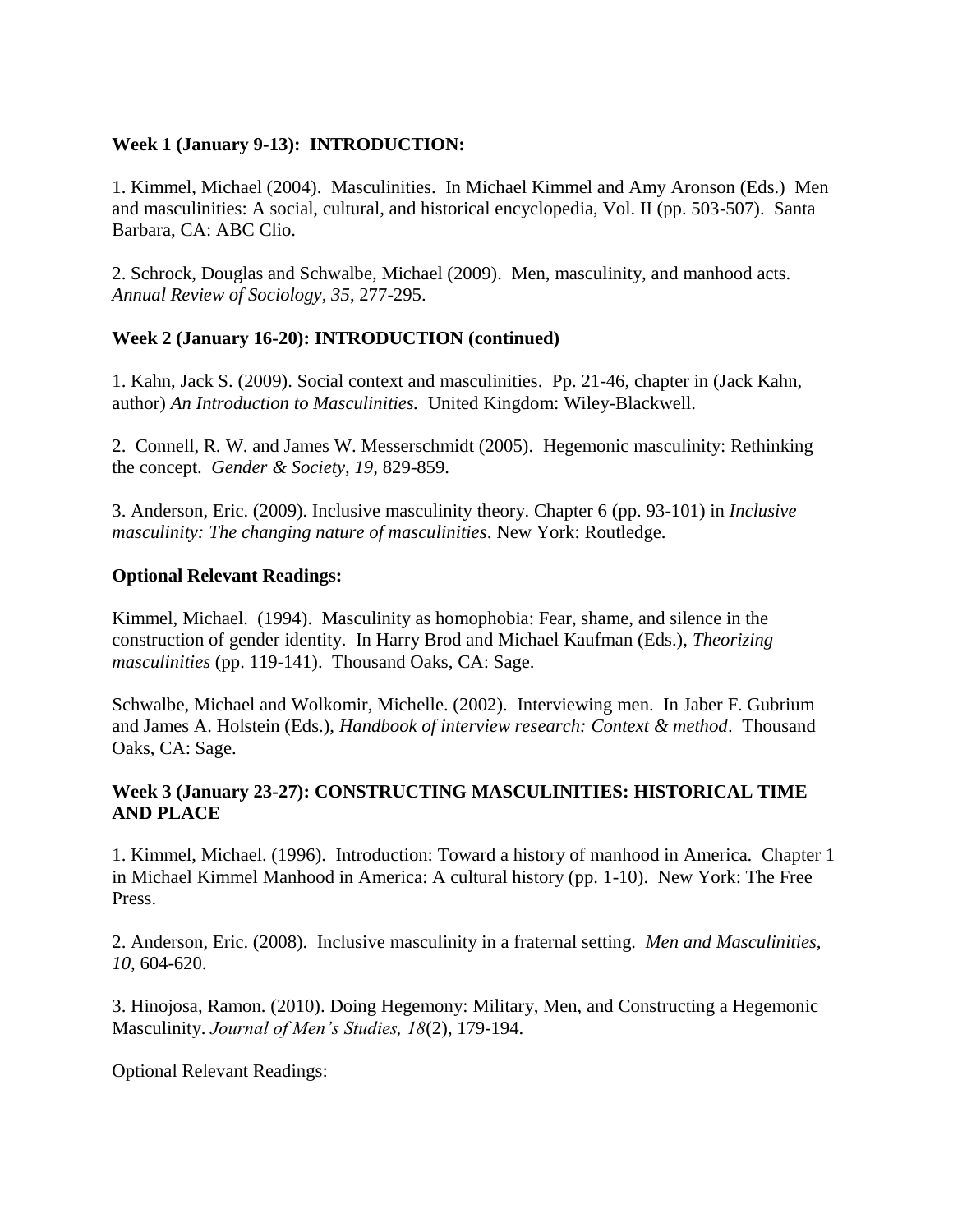## **Week 1 (January 9-13): INTRODUCTION:**

1. Kimmel, Michael (2004). Masculinities. In Michael Kimmel and Amy Aronson (Eds.) Men and masculinities: A social, cultural, and historical encyclopedia, Vol. II (pp. 503-507). Santa Barbara, CA: ABC Clio.

2. Schrock, Douglas and Schwalbe, Michael (2009). Men, masculinity, and manhood acts. *Annual Review of Sociology, 35*, 277-295.

## **Week 2 (January 16-20): INTRODUCTION (continued)**

1. Kahn, Jack S. (2009). Social context and masculinities. Pp. 21-46, chapter in (Jack Kahn, author) *An Introduction to Masculinities.* United Kingdom: Wiley-Blackwell.

2. Connell, R. W. and James W. Messerschmidt (2005). Hegemonic masculinity: Rethinking the concept. *Gender & Society, 19,* 829-859.

3. Anderson, Eric. (2009). Inclusive masculinity theory. Chapter 6 (pp. 93-101) in *Inclusive masculinity: The changing nature of masculinities*. New York: Routledge.

#### **Optional Relevant Readings:**

Kimmel, Michael. (1994). Masculinity as homophobia: Fear, shame, and silence in the construction of gender identity. In Harry Brod and Michael Kaufman (Eds.), *Theorizing masculinities* (pp. 119-141). Thousand Oaks, CA: Sage.

Schwalbe, Michael and Wolkomir, Michelle. (2002). Interviewing men. In Jaber F. Gubrium and James A. Holstein (Eds.), *Handbook of interview research: Context & method*. Thousand Oaks, CA: Sage.

#### **Week 3 (January 23-27): CONSTRUCTING MASCULINITIES: HISTORICAL TIME AND PLACE**

1. Kimmel, Michael. (1996). Introduction: Toward a history of manhood in America. Chapter 1 in Michael Kimmel Manhood in America: A cultural history (pp. 1-10). New York: The Free Press.

2. Anderson, Eric. (2008). Inclusive masculinity in a fraternal setting. *Men and Masculinities, 10*, 604-620.

3. Hinojosa, Ramon. (2010). Doing Hegemony: Military, Men, and Constructing a Hegemonic Masculinity. *Journal of Men's Studies, 18*(2), 179-194.

Optional Relevant Readings: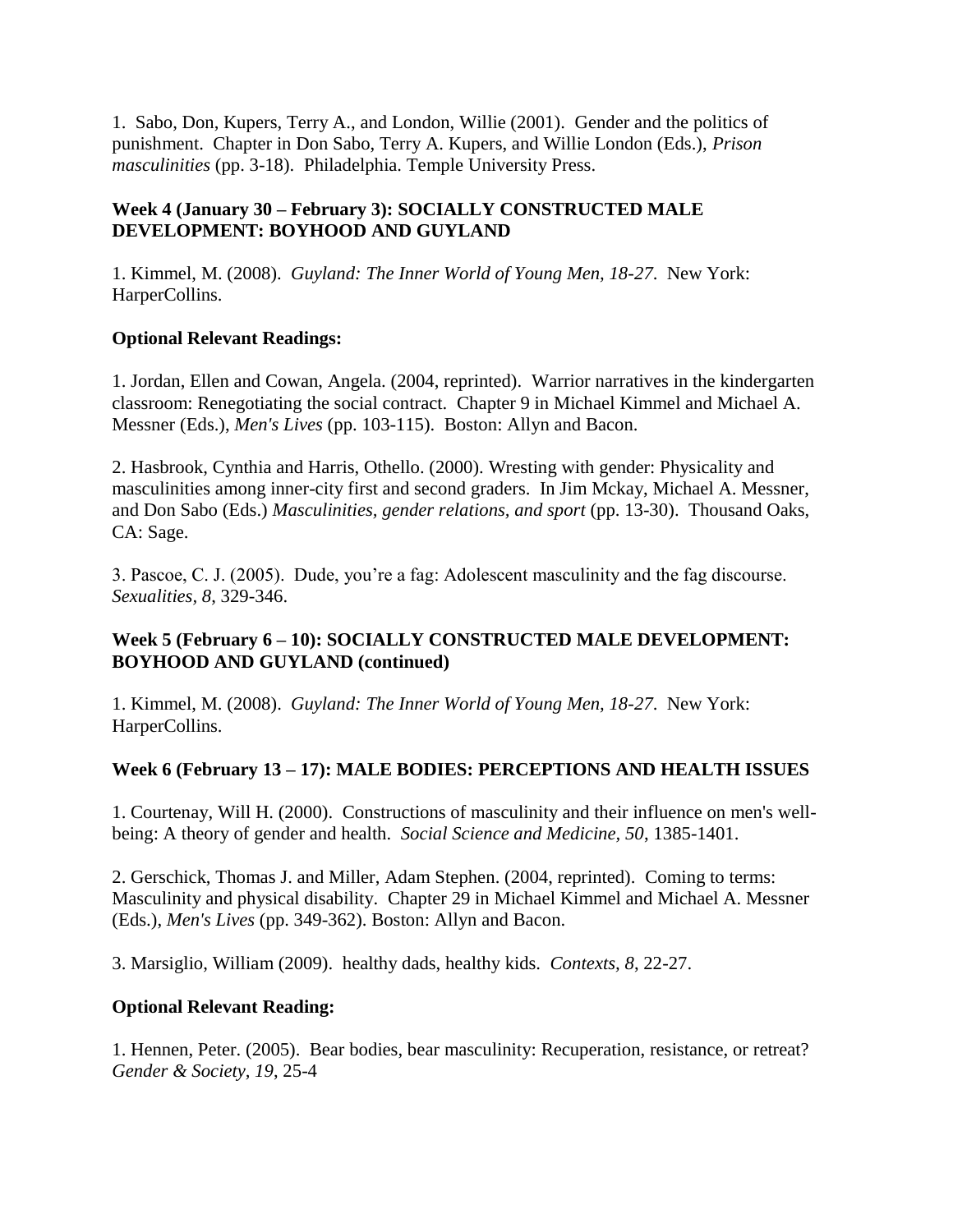1. Sabo, Don, Kupers, Terry A., and London, Willie (2001). Gender and the politics of punishment. Chapter in Don Sabo, Terry A. Kupers, and Willie London (Eds.), *Prison masculinities* (pp. 3-18). Philadelphia. Temple University Press.

## **Week 4 (January 30 – February 3): SOCIALLY CONSTRUCTED MALE DEVELOPMENT: BOYHOOD AND GUYLAND**

1. Kimmel, M. (2008). *Guyland: The Inner World of Young Men, 18-27*. New York: HarperCollins.

## **Optional Relevant Readings:**

1. Jordan, Ellen and Cowan, Angela. (2004, reprinted). Warrior narratives in the kindergarten classroom: Renegotiating the social contract. Chapter 9 in Michael Kimmel and Michael A. Messner (Eds.), *Men's Lives* (pp. 103-115). Boston: Allyn and Bacon.

2. Hasbrook, Cynthia and Harris, Othello. (2000). Wresting with gender: Physicality and masculinities among inner-city first and second graders. In Jim Mckay, Michael A. Messner, and Don Sabo (Eds.) *Masculinities, gender relations, and sport* (pp. 13-30). Thousand Oaks, CA: Sage.

3. Pascoe, C. J. (2005). Dude, you're a fag: Adolescent masculinity and the fag discourse. *Sexualities, 8*, 329-346.

## **Week 5 (February 6 – 10): SOCIALLY CONSTRUCTED MALE DEVELOPMENT: BOYHOOD AND GUYLAND (continued)**

1. Kimmel, M. (2008). *Guyland: The Inner World of Young Men, 18-27*. New York: HarperCollins.

## **Week 6 (February 13 – 17): MALE BODIES: PERCEPTIONS AND HEALTH ISSUES**

1. Courtenay, Will H. (2000). Constructions of masculinity and their influence on men's wellbeing: A theory of gender and health. *Social Science and Medicine, 50*, 1385-1401.

2. Gerschick, Thomas J. and Miller, Adam Stephen. (2004, reprinted). Coming to terms: Masculinity and physical disability. Chapter 29 in Michael Kimmel and Michael A. Messner (Eds.), *Men's Lives* (pp. 349-362). Boston: Allyn and Bacon.

3. Marsiglio, William (2009). healthy dads, healthy kids. *Contexts, 8*, 22-27.

## **Optional Relevant Reading:**

1. Hennen, Peter. (2005). Bear bodies, bear masculinity: Recuperation, resistance, or retreat? *Gender & Society, 19*, 25-4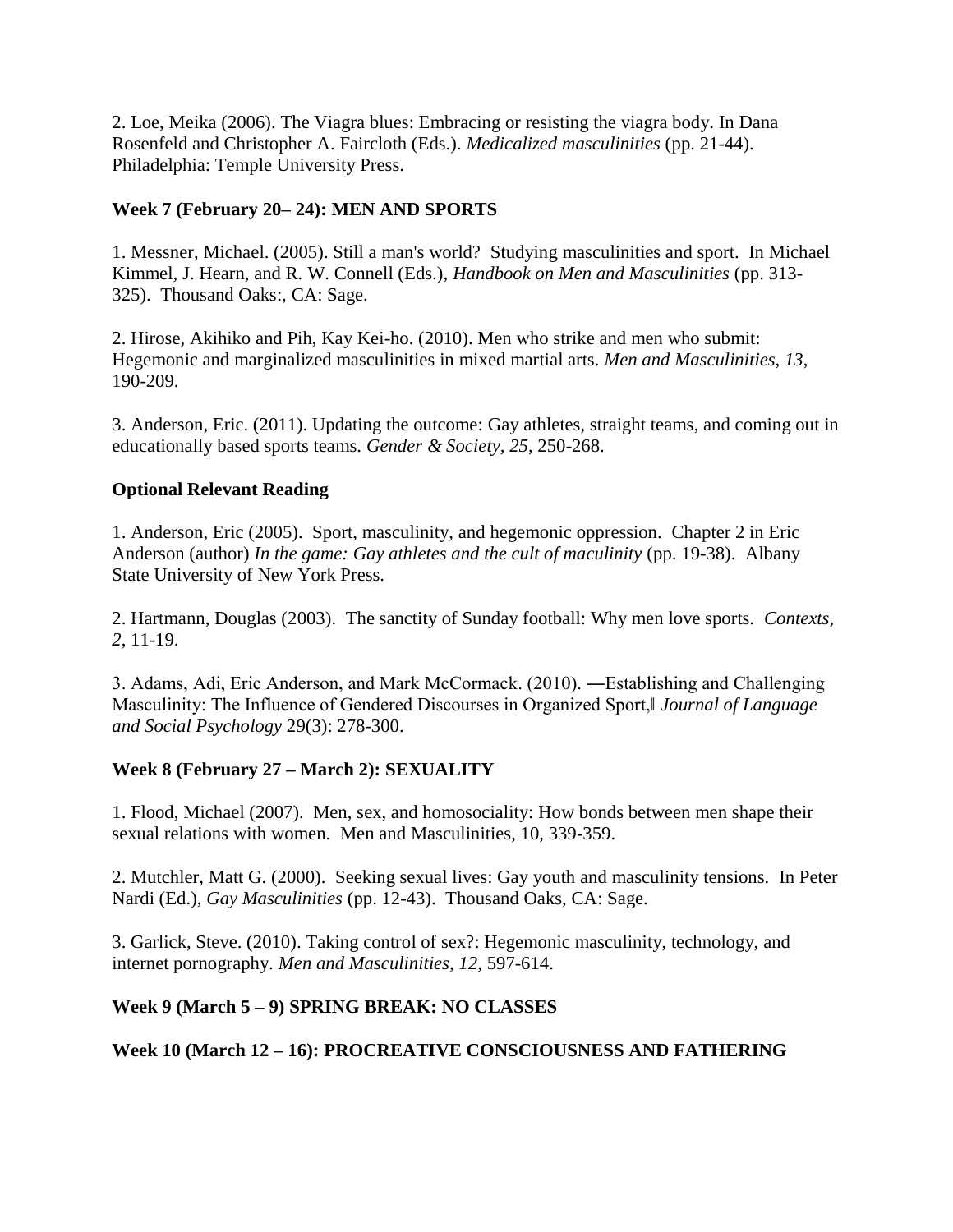2. Loe, Meika (2006). The Viagra blues: Embracing or resisting the viagra body. In Dana Rosenfeld and Christopher A. Faircloth (Eds.). *Medicalized masculinities* (pp. 21-44). Philadelphia: Temple University Press.

## **Week 7 (February 20– 24): MEN AND SPORTS**

1. Messner, Michael. (2005). Still a man's world? Studying masculinities and sport. In Michael Kimmel, J. Hearn, and R. W. Connell (Eds.), *Handbook on Men and Masculinities* (pp. 313- 325). Thousand Oaks:, CA: Sage.

2. Hirose, Akihiko and Pih, Kay Kei-ho. (2010). Men who strike and men who submit: Hegemonic and marginalized masculinities in mixed martial arts. *Men and Masculinities, 13*, 190-209.

3. Anderson, Eric. (2011). Updating the outcome: Gay athletes, straight teams, and coming out in educationally based sports teams. *Gender & Society, 25*, 250-268.

## **Optional Relevant Reading**

1. Anderson, Eric (2005). Sport, masculinity, and hegemonic oppression. Chapter 2 in Eric Anderson (author) *In the game: Gay athletes and the cult of maculinity* (pp. 19-38). Albany State University of New York Press.

2. Hartmann, Douglas (2003). The sanctity of Sunday football: Why men love sports. *Contexts, 2*, 11-19.

3. Adams, Adi, Eric Anderson, and Mark McCormack. (2010). ―Establishing and Challenging Masculinity: The Influence of Gendered Discourses in Organized Sport,‖ *Journal of Language and Social Psychology* 29(3): 278-300.

# **Week 8 (February 27 – March 2): SEXUALITY**

1. Flood, Michael (2007). Men, sex, and homosociality: How bonds between men shape their sexual relations with women. Men and Masculinities, 10, 339-359.

2. Mutchler, Matt G. (2000). Seeking sexual lives: Gay youth and masculinity tensions. In Peter Nardi (Ed.), *Gay Masculinities* (pp. 12-43). Thousand Oaks, CA: Sage.

3. Garlick, Steve. (2010). Taking control of sex?: Hegemonic masculinity, technology, and internet pornography. *Men and Masculinities, 12*, 597-614.

## **Week 9 (March 5 – 9) SPRING BREAK: NO CLASSES**

# **Week 10 (March 12 – 16): PROCREATIVE CONSCIOUSNESS AND FATHERING**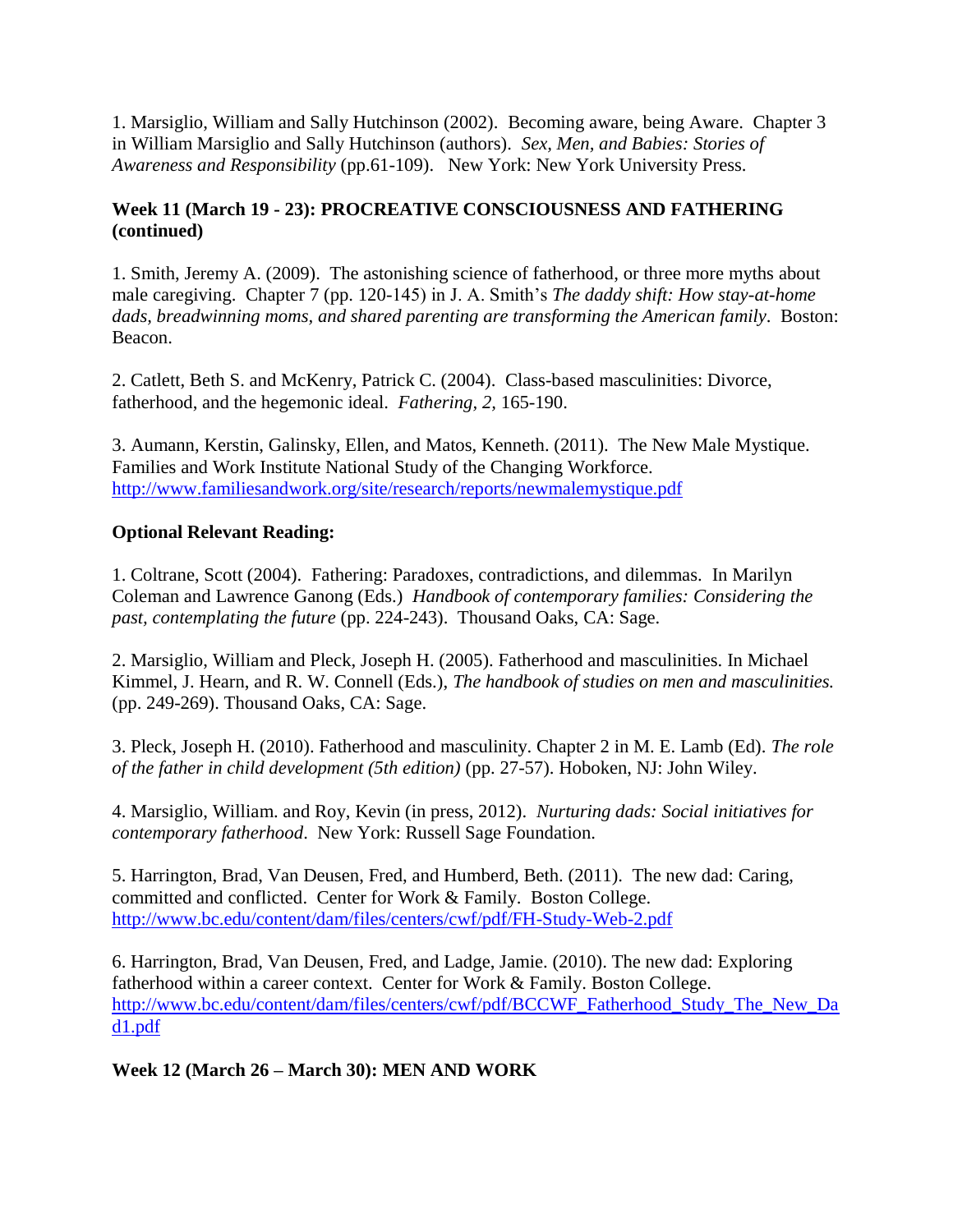1. Marsiglio, William and Sally Hutchinson (2002). Becoming aware, being Aware. Chapter 3 in William Marsiglio and Sally Hutchinson (authors). *Sex, Men, and Babies: Stories of Awareness and Responsibility* (pp.61-109). New York: New York University Press.

## **Week 11 (March 19 - 23): PROCREATIVE CONSCIOUSNESS AND FATHERING (continued)**

1. Smith, Jeremy A. (2009). The astonishing science of fatherhood, or three more myths about male caregiving. Chapter 7 (pp. 120-145) in J. A. Smith's *The daddy shift: How stay-at-home dads, breadwinning moms, and shared parenting are transforming the American family*. Boston: Beacon.

2. Catlett, Beth S. and McKenry, Patrick C. (2004). Class-based masculinities: Divorce, fatherhood, and the hegemonic ideal. *Fathering, 2,* 165-190.

3. Aumann, Kerstin, Galinsky, Ellen, and Matos, Kenneth. (2011). The New Male Mystique. Families and Work Institute National Study of the Changing Workforce. <http://www.familiesandwork.org/site/research/reports/newmalemystique.pdf>

# **Optional Relevant Reading:**

1. Coltrane, Scott (2004). Fathering: Paradoxes, contradictions, and dilemmas. In Marilyn Coleman and Lawrence Ganong (Eds.) *Handbook of contemporary families: Considering the past, contemplating the future* (pp. 224-243). Thousand Oaks, CA: Sage.

2. Marsiglio, William and Pleck, Joseph H. (2005). Fatherhood and masculinities. In Michael Kimmel, J. Hearn, and R. W. Connell (Eds.), *The handbook of studies on men and masculinities.*  (pp. 249-269). Thousand Oaks, CA: Sage.

3. Pleck, Joseph H. (2010). Fatherhood and masculinity. Chapter 2 in M. E. Lamb (Ed). *The role of the father in child development (5th edition)* (pp. 27-57). Hoboken, NJ: John Wiley.

4. Marsiglio, William. and Roy, Kevin (in press, 2012). *Nurturing dads: Social initiatives for contemporary fatherhood*. New York: Russell Sage Foundation.

5. Harrington, Brad, Van Deusen, Fred, and Humberd, Beth. (2011). The new dad: Caring, committed and conflicted. Center for Work & Family. Boston College. <http://www.bc.edu/content/dam/files/centers/cwf/pdf/FH-Study-Web-2.pdf>

6. Harrington, Brad, Van Deusen, Fred, and Ladge, Jamie. (2010). The new dad: Exploring fatherhood within a career context. Center for Work & Family. Boston College. [http://www.bc.edu/content/dam/files/centers/cwf/pdf/BCCWF\\_Fatherhood\\_Study\\_The\\_New\\_Da](http://www.bc.edu/content/dam/files/centers/cwf/pdf/BCCWF_Fatherhood_Study_The_New_Dad1.pdf) [d1.pdf](http://www.bc.edu/content/dam/files/centers/cwf/pdf/BCCWF_Fatherhood_Study_The_New_Dad1.pdf)

**Week 12 (March 26 – March 30): MEN AND WORK**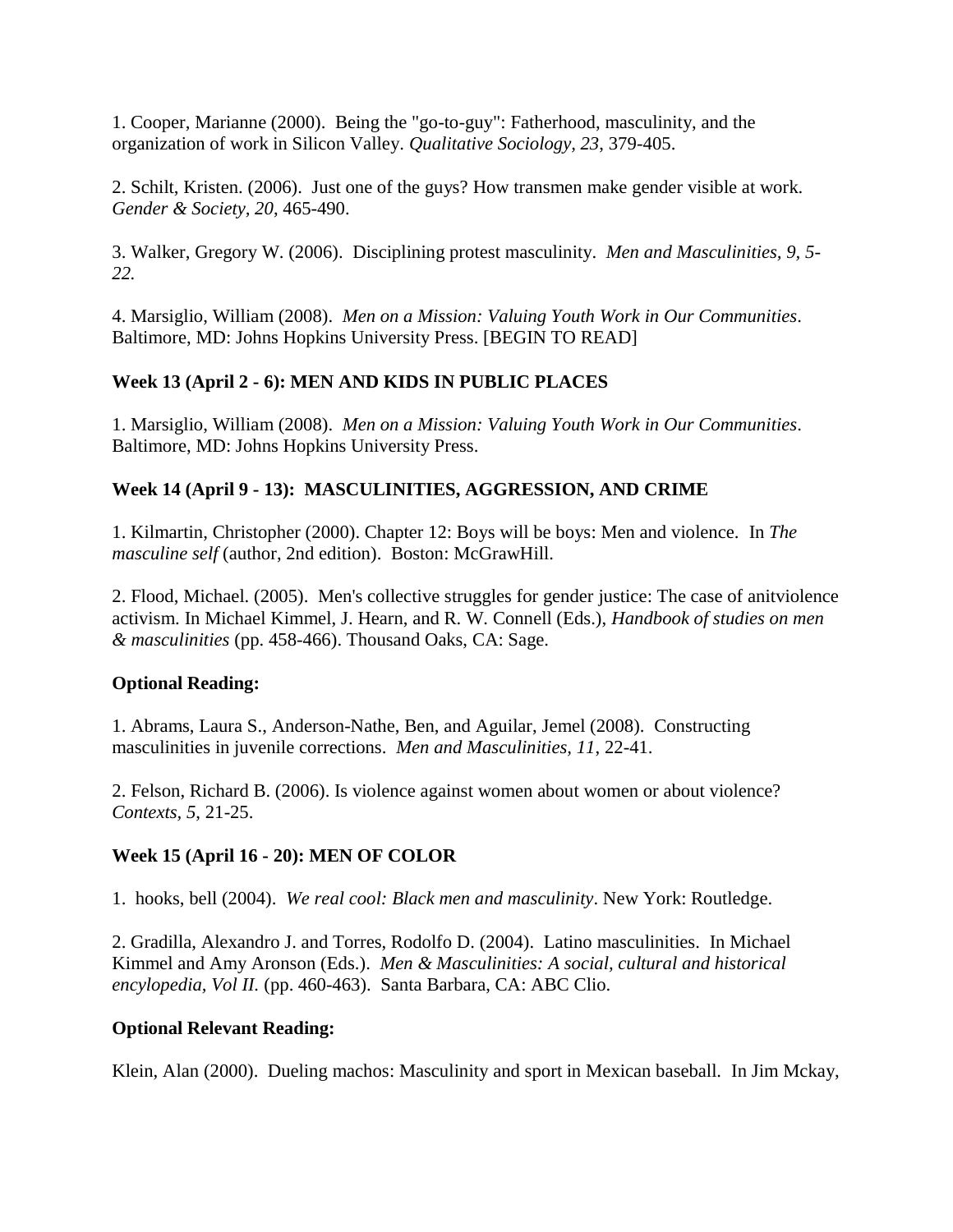1. Cooper, Marianne (2000). Being the "go-to-guy": Fatherhood, masculinity, and the organization of work in Silicon Valley. *Qualitative Sociology, 23*, 379-405.

2. Schilt, Kristen. (2006). Just one of the guys? How transmen make gender visible at work. *Gender & Society, 20*, 465-490.

3. Walker, Gregory W. (2006). Disciplining protest masculinity. *Men and Masculinities, 9, 5- 22.*

4. Marsiglio, William (2008). *Men on a Mission: Valuing Youth Work in Our Communities*. Baltimore, MD: Johns Hopkins University Press. [BEGIN TO READ]

# **Week 13 (April 2 - 6): MEN AND KIDS IN PUBLIC PLACES**

1. Marsiglio, William (2008). *Men on a Mission: Valuing Youth Work in Our Communities*. Baltimore, MD: Johns Hopkins University Press.

# **Week 14 (April 9 - 13): MASCULINITIES, AGGRESSION, AND CRIME**

1. Kilmartin, Christopher (2000). Chapter 12: Boys will be boys: Men and violence. In *The masculine self* (author, 2nd edition). Boston: McGrawHill.

2. Flood, Michael. (2005). Men's collective struggles for gender justice: The case of anitviolence activism. In Michael Kimmel, J. Hearn, and R. W. Connell (Eds.), *Handbook of studies on men & masculinities* (pp. 458-466). Thousand Oaks, CA: Sage.

## **Optional Reading:**

1. Abrams, Laura S., Anderson-Nathe, Ben, and Aguilar, Jemel (2008). Constructing masculinities in juvenile corrections. *Men and Masculinities, 11*, 22-41.

2. Felson, Richard B. (2006). Is violence against women about women or about violence? *Contexts, 5*, 21-25.

# **Week 15 (April 16 - 20): MEN OF COLOR**

1. hooks, bell (2004). *We real cool: Black men and masculinity*. New York: Routledge.

2. Gradilla, Alexandro J. and Torres, Rodolfo D. (2004). Latino masculinities. In Michael Kimmel and Amy Aronson (Eds.). *Men & Masculinities: A social, cultural and historical encylopedia, Vol II.* (pp. 460-463). Santa Barbara, CA: ABC Clio.

## **Optional Relevant Reading:**

Klein, Alan (2000). Dueling machos: Masculinity and sport in Mexican baseball. In Jim Mckay,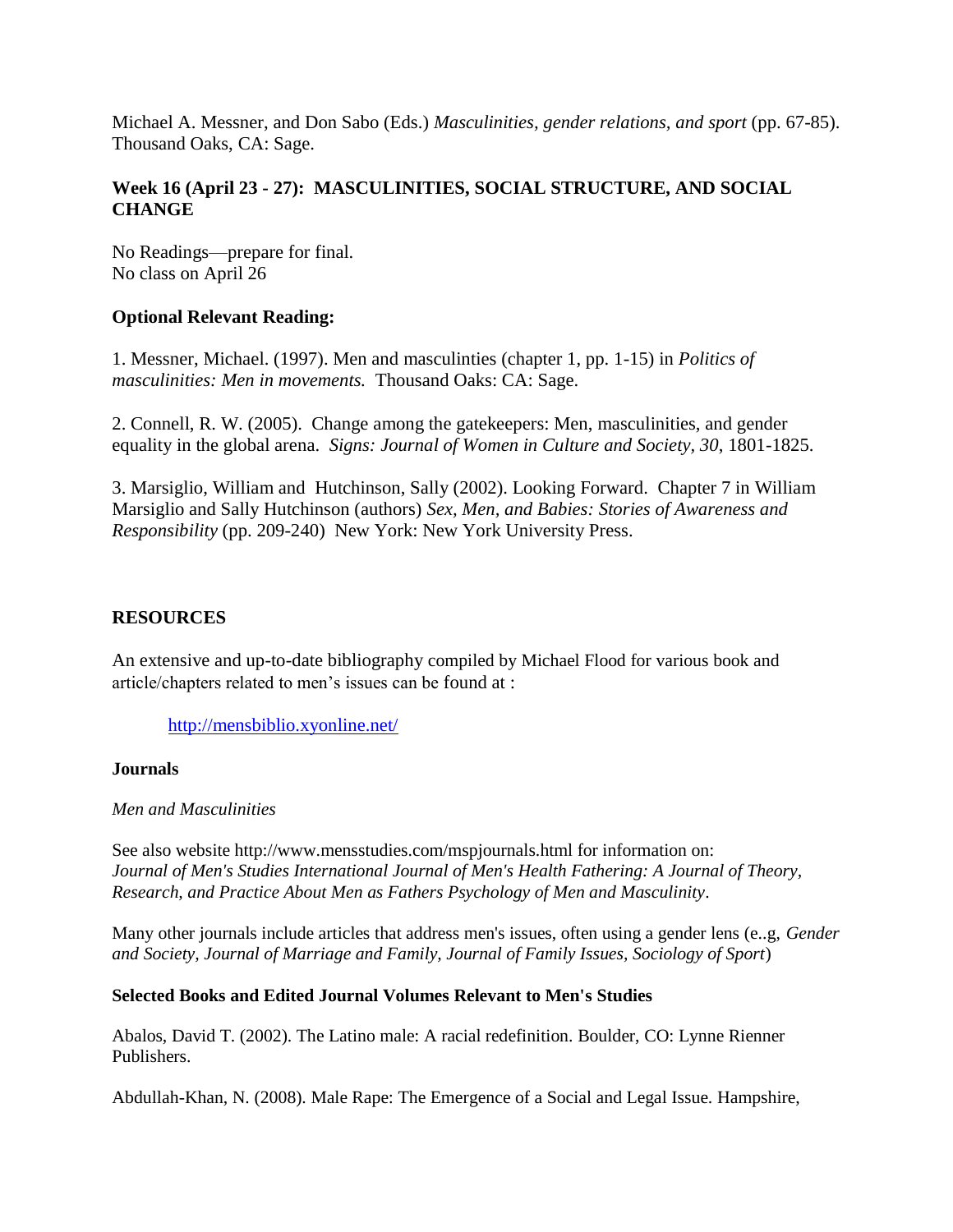Michael A. Messner, and Don Sabo (Eds.) *Masculinities, gender relations, and sport* (pp. 67-85). Thousand Oaks, CA: Sage.

## **Week 16 (April 23 - 27): MASCULINITIES, SOCIAL STRUCTURE, AND SOCIAL CHANGE**

No Readings—prepare for final. No class on April 26

## **Optional Relevant Reading:**

1. Messner, Michael. (1997). Men and masculinties (chapter 1, pp. 1-15) in *Politics of masculinities: Men in movements.* Thousand Oaks: CA: Sage.

2. Connell, R. W. (2005). Change among the gatekeepers: Men, masculinities, and gender equality in the global arena. *Signs: Journal of Women in Culture and Society, 30*, 1801-1825.

3. Marsiglio, William and Hutchinson, Sally (2002). Looking Forward. Chapter 7 in William Marsiglio and Sally Hutchinson (authors) *Sex, Men, and Babies: Stories of Awareness and Responsibility* (pp. 209-240) New York: New York University Press.

## **RESOURCES**

An extensive and up-to-date bibliography compiled by Michael Flood for various book and article/chapters related to men's issues can be found at :

<http://mensbiblio.xyonline.net/>

#### **Journals**

*Men and Masculinities* 

See also website http://www.mensstudies.com/mspjournals.html for information on: *Journal of Men's Studies International Journal of Men's Health Fathering: A Journal of Theory, Research, and Practice About Men as Fathers Psychology of Men and Masculinity.*

Many other journals include articles that address men's issues, often using a gender lens (e..g, *Gender and Society, Journal of Marriage and Family, Journal of Family Issues, Sociology of Sport*)

#### **Selected Books and Edited Journal Volumes Relevant to Men's Studies**

Abalos, David T. (2002). The Latino male: A racial redefinition. Boulder, CO: Lynne Rienner Publishers.

Abdullah-Khan, N. (2008). Male Rape: The Emergence of a Social and Legal Issue. Hampshire,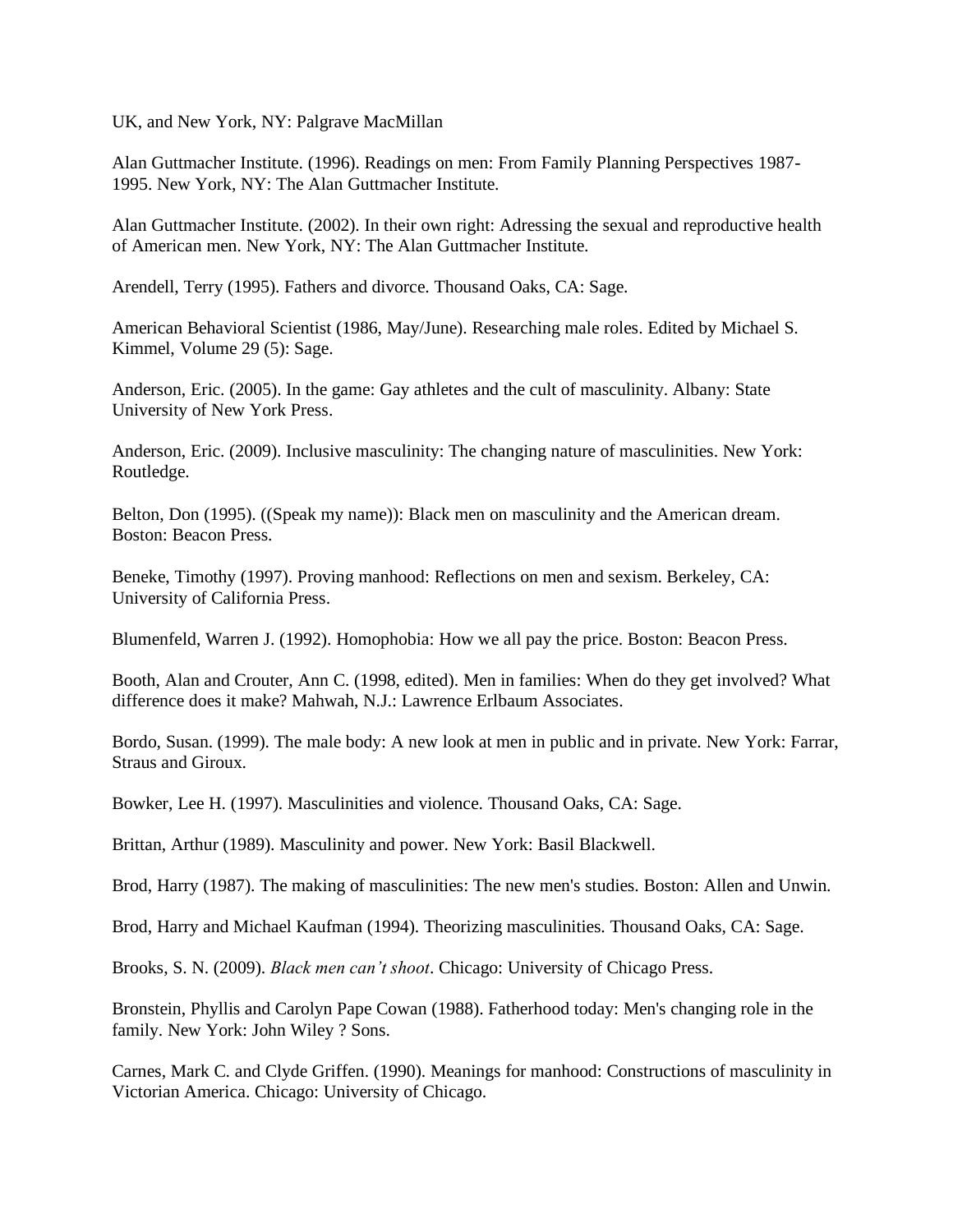UK, and New York, NY: Palgrave MacMillan

Alan Guttmacher Institute. (1996). Readings on men: From Family Planning Perspectives 1987- 1995. New York, NY: The Alan Guttmacher Institute.

Alan Guttmacher Institute. (2002). In their own right: Adressing the sexual and reproductive health of American men. New York, NY: The Alan Guttmacher Institute.

Arendell, Terry (1995). Fathers and divorce. Thousand Oaks, CA: Sage.

American Behavioral Scientist (1986, May/June). Researching male roles. Edited by Michael S. Kimmel, Volume 29 (5): Sage.

Anderson, Eric. (2005). In the game: Gay athletes and the cult of masculinity. Albany: State University of New York Press.

Anderson, Eric. (2009). Inclusive masculinity: The changing nature of masculinities. New York: Routledge.

Belton, Don (1995). ((Speak my name)): Black men on masculinity and the American dream. Boston: Beacon Press.

Beneke, Timothy (1997). Proving manhood: Reflections on men and sexism. Berkeley, CA: University of California Press.

Blumenfeld, Warren J. (1992). Homophobia: How we all pay the price. Boston: Beacon Press.

Booth, Alan and Crouter, Ann C. (1998, edited). Men in families: When do they get involved? What difference does it make? Mahwah, N.J.: Lawrence Erlbaum Associates.

Bordo, Susan. (1999). The male body: A new look at men in public and in private. New York: Farrar, Straus and Giroux.

Bowker, Lee H. (1997). Masculinities and violence. Thousand Oaks, CA: Sage.

Brittan, Arthur (1989). Masculinity and power. New York: Basil Blackwell.

Brod, Harry (1987). The making of masculinities: The new men's studies. Boston: Allen and Unwin.

Brod, Harry and Michael Kaufman (1994). Theorizing masculinities. Thousand Oaks, CA: Sage.

Brooks, S. N. (2009). *Black men can't shoot*. Chicago: University of Chicago Press.

Bronstein, Phyllis and Carolyn Pape Cowan (1988). Fatherhood today: Men's changing role in the family. New York: John Wiley ? Sons.

Carnes, Mark C. and Clyde Griffen. (1990). Meanings for manhood: Constructions of masculinity in Victorian America. Chicago: University of Chicago.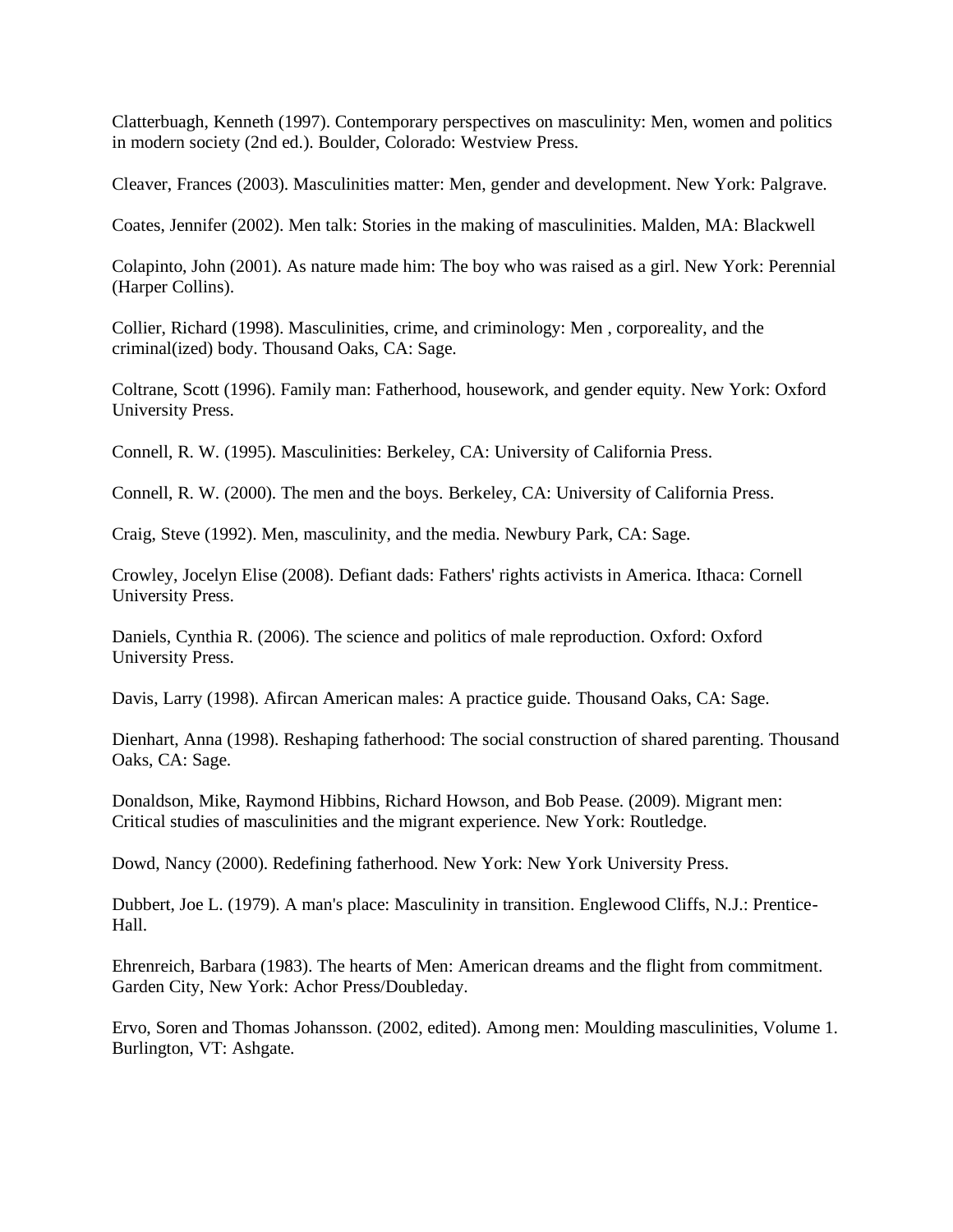Clatterbuagh, Kenneth (1997). Contemporary perspectives on masculinity: Men, women and politics in modern society (2nd ed.). Boulder, Colorado: Westview Press.

Cleaver, Frances (2003). Masculinities matter: Men, gender and development. New York: Palgrave.

Coates, Jennifer (2002). Men talk: Stories in the making of masculinities. Malden, MA: Blackwell

Colapinto, John (2001). As nature made him: The boy who was raised as a girl. New York: Perennial (Harper Collins).

Collier, Richard (1998). Masculinities, crime, and criminology: Men , corporeality, and the criminal(ized) body. Thousand Oaks, CA: Sage.

Coltrane, Scott (1996). Family man: Fatherhood, housework, and gender equity. New York: Oxford University Press.

Connell, R. W. (1995). Masculinities: Berkeley, CA: University of California Press.

Connell, R. W. (2000). The men and the boys. Berkeley, CA: University of California Press.

Craig, Steve (1992). Men, masculinity, and the media. Newbury Park, CA: Sage.

Crowley, Jocelyn Elise (2008). Defiant dads: Fathers' rights activists in America. Ithaca: Cornell University Press.

Daniels, Cynthia R. (2006). The science and politics of male reproduction. Oxford: Oxford University Press.

Davis, Larry (1998). Afircan American males: A practice guide. Thousand Oaks, CA: Sage.

Dienhart, Anna (1998). Reshaping fatherhood: The social construction of shared parenting. Thousand Oaks, CA: Sage.

Donaldson, Mike, Raymond Hibbins, Richard Howson, and Bob Pease. (2009). Migrant men: Critical studies of masculinities and the migrant experience. New York: Routledge.

Dowd, Nancy (2000). Redefining fatherhood. New York: New York University Press.

Dubbert, Joe L. (1979). A man's place: Masculinity in transition. Englewood Cliffs, N.J.: Prentice-Hall.

Ehrenreich, Barbara (1983). The hearts of Men: American dreams and the flight from commitment. Garden City, New York: Achor Press/Doubleday.

Ervo, Soren and Thomas Johansson. (2002, edited). Among men: Moulding masculinities, Volume 1. Burlington, VT: Ashgate.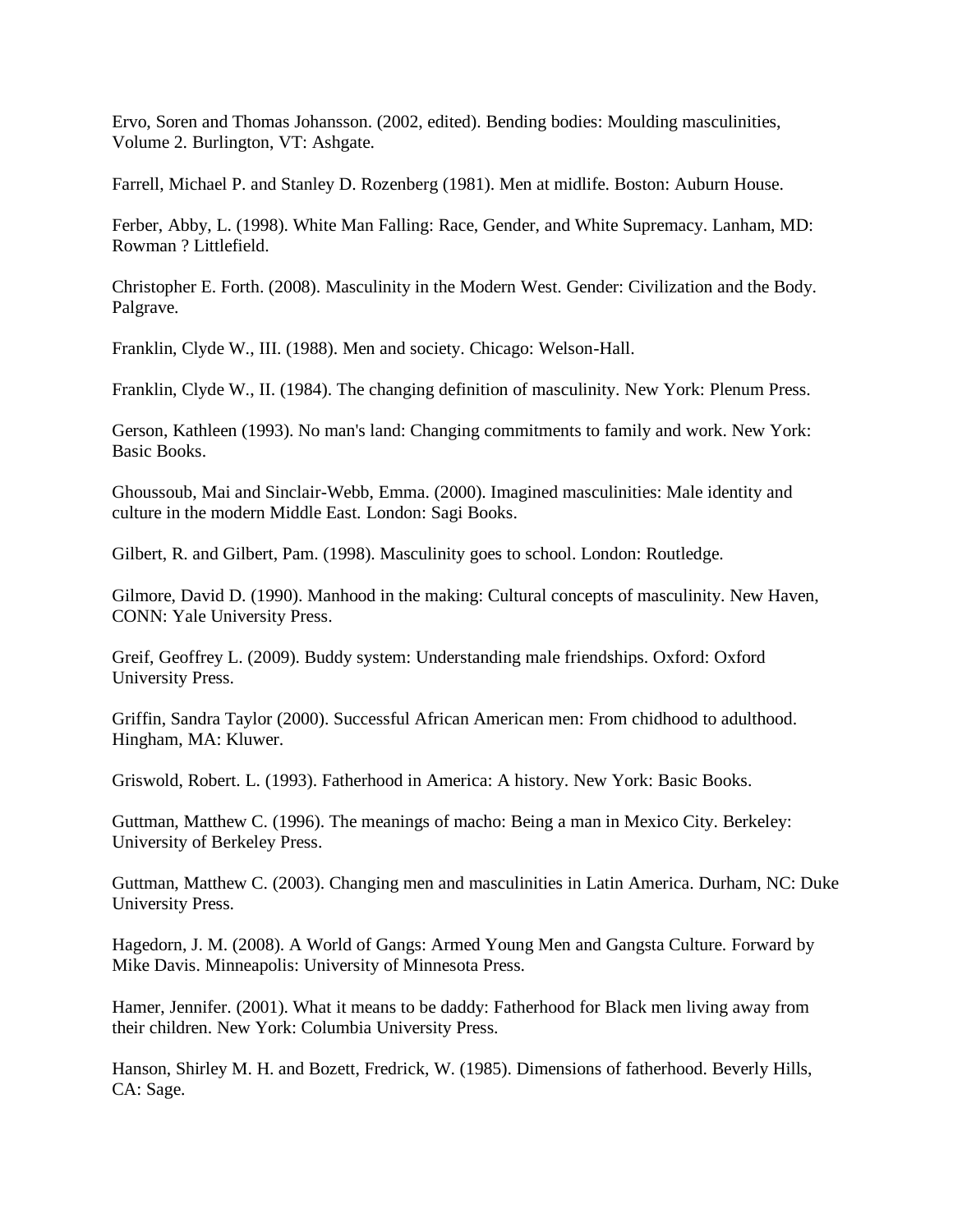Ervo, Soren and Thomas Johansson. (2002, edited). Bending bodies: Moulding masculinities, Volume 2. Burlington, VT: Ashgate.

Farrell, Michael P. and Stanley D. Rozenberg (1981). Men at midlife. Boston: Auburn House.

Ferber, Abby, L. (1998). White Man Falling: Race, Gender, and White Supremacy. Lanham, MD: Rowman ? Littlefield.

Christopher E. Forth. (2008). Masculinity in the Modern West. Gender: Civilization and the Body. Palgrave.

Franklin, Clyde W., III. (1988). Men and society. Chicago: Welson-Hall.

Franklin, Clyde W., II. (1984). The changing definition of masculinity. New York: Plenum Press.

Gerson, Kathleen (1993). No man's land: Changing commitments to family and work. New York: Basic Books.

Ghoussoub, Mai and Sinclair-Webb, Emma. (2000). Imagined masculinities: Male identity and culture in the modern Middle East. London: Sagi Books.

Gilbert, R. and Gilbert, Pam. (1998). Masculinity goes to school. London: Routledge.

Gilmore, David D. (1990). Manhood in the making: Cultural concepts of masculinity. New Haven, CONN: Yale University Press.

Greif, Geoffrey L. (2009). Buddy system: Understanding male friendships. Oxford: Oxford University Press.

Griffin, Sandra Taylor (2000). Successful African American men: From chidhood to adulthood. Hingham, MA: Kluwer.

Griswold, Robert. L. (1993). Fatherhood in America: A history. New York: Basic Books.

Guttman, Matthew C. (1996). The meanings of macho: Being a man in Mexico City. Berkeley: University of Berkeley Press.

Guttman, Matthew C. (2003). Changing men and masculinities in Latin America. Durham, NC: Duke University Press.

Hagedorn, J. M. (2008). A World of Gangs: Armed Young Men and Gangsta Culture. Forward by Mike Davis. Minneapolis: University of Minnesota Press.

Hamer, Jennifer. (2001). What it means to be daddy: Fatherhood for Black men living away from their children. New York: Columbia University Press.

Hanson, Shirley M. H. and Bozett, Fredrick, W. (1985). Dimensions of fatherhood. Beverly Hills, CA: Sage.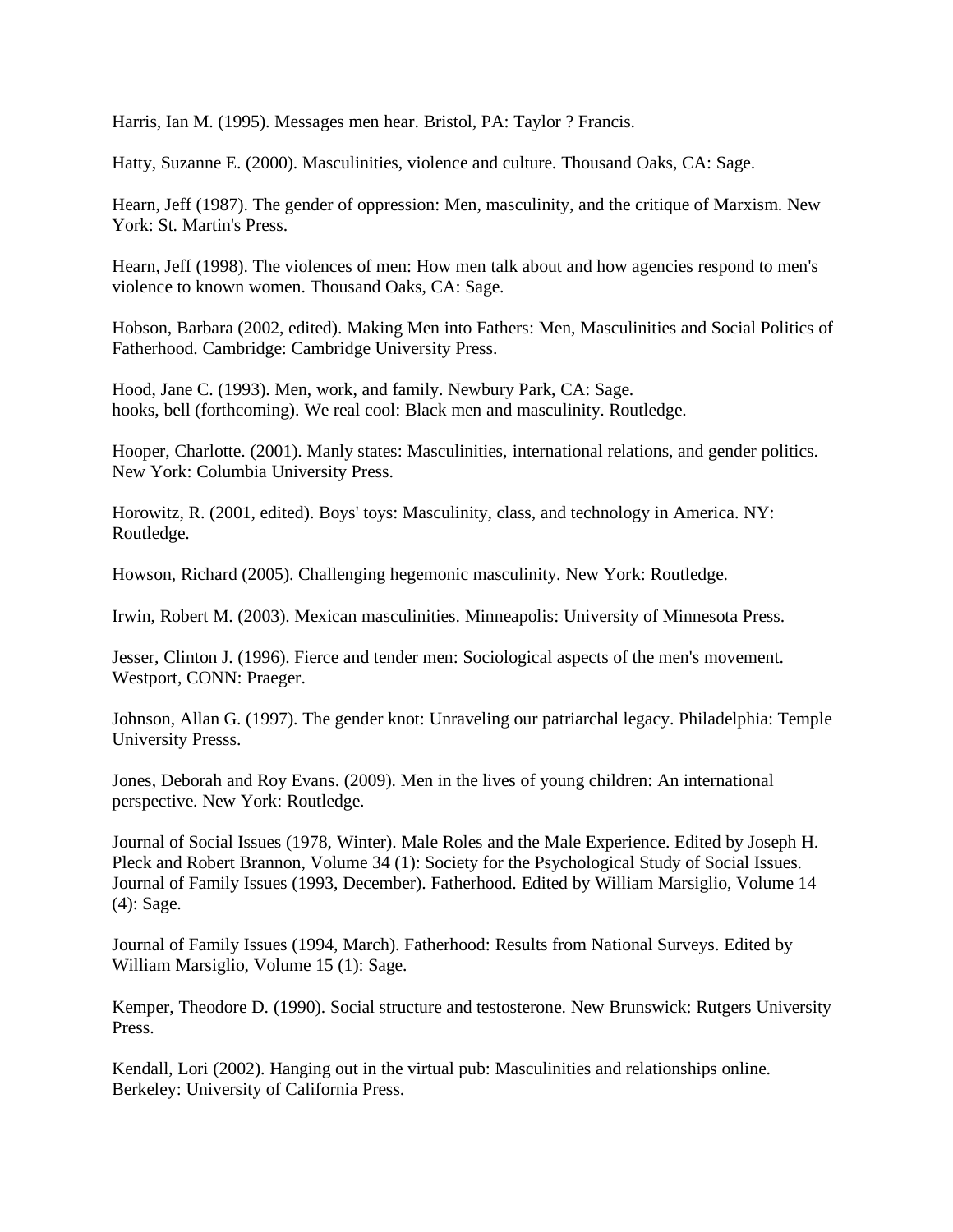Harris, Ian M. (1995). Messages men hear. Bristol, PA: Taylor ? Francis.

Hatty, Suzanne E. (2000). Masculinities, violence and culture. Thousand Oaks, CA: Sage.

Hearn, Jeff (1987). The gender of oppression: Men, masculinity, and the critique of Marxism. New York: St. Martin's Press.

Hearn, Jeff (1998). The violences of men: How men talk about and how agencies respond to men's violence to known women. Thousand Oaks, CA: Sage.

Hobson, Barbara (2002, edited). Making Men into Fathers: Men, Masculinities and Social Politics of Fatherhood. Cambridge: Cambridge University Press.

Hood, Jane C. (1993). Men, work, and family. Newbury Park, CA: Sage. hooks, bell (forthcoming). We real cool: Black men and masculinity. Routledge.

Hooper, Charlotte. (2001). Manly states: Masculinities, international relations, and gender politics. New York: Columbia University Press.

Horowitz, R. (2001, edited). Boys' toys: Masculinity, class, and technology in America. NY: Routledge.

Howson, Richard (2005). Challenging hegemonic masculinity. New York: Routledge.

Irwin, Robert M. (2003). Mexican masculinities. Minneapolis: University of Minnesota Press.

Jesser, Clinton J. (1996). Fierce and tender men: Sociological aspects of the men's movement. Westport, CONN: Praeger.

Johnson, Allan G. (1997). The gender knot: Unraveling our patriarchal legacy. Philadelphia: Temple University Presss.

Jones, Deborah and Roy Evans. (2009). Men in the lives of young children: An international perspective. New York: Routledge.

Journal of Social Issues (1978, Winter). Male Roles and the Male Experience. Edited by Joseph H. Pleck and Robert Brannon, Volume 34 (1): Society for the Psychological Study of Social Issues. Journal of Family Issues (1993, December). Fatherhood. Edited by William Marsiglio, Volume 14 (4): Sage.

Journal of Family Issues (1994, March). Fatherhood: Results from National Surveys. Edited by William Marsiglio, Volume 15 (1): Sage.

Kemper, Theodore D. (1990). Social structure and testosterone. New Brunswick: Rutgers University Press.

Kendall, Lori (2002). Hanging out in the virtual pub: Masculinities and relationships online. Berkeley: University of California Press.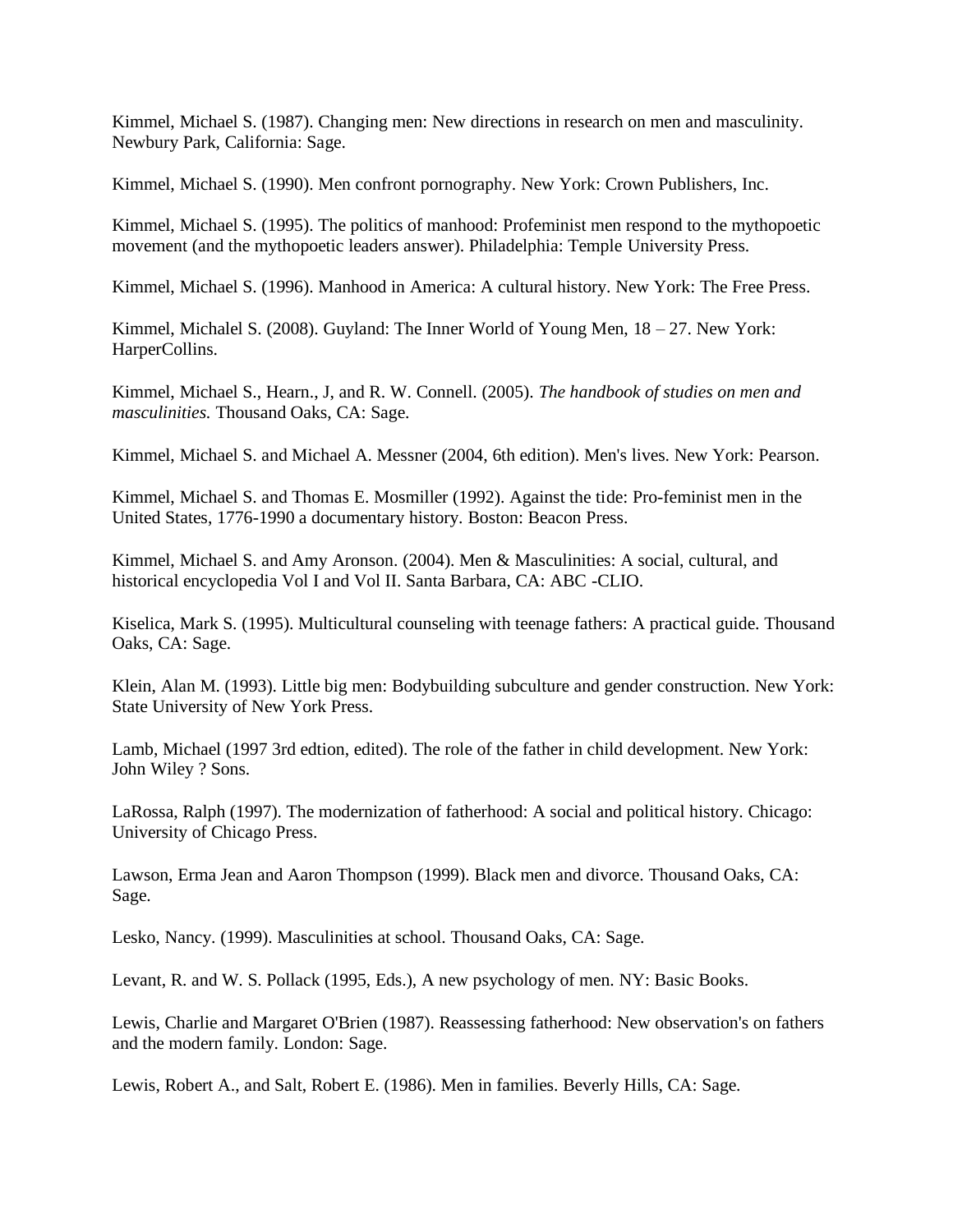Kimmel, Michael S. (1987). Changing men: New directions in research on men and masculinity. Newbury Park, California: Sage.

Kimmel, Michael S. (1990). Men confront pornography. New York: Crown Publishers, Inc.

Kimmel, Michael S. (1995). The politics of manhood: Profeminist men respond to the mythopoetic movement (and the mythopoetic leaders answer). Philadelphia: Temple University Press.

Kimmel, Michael S. (1996). Manhood in America: A cultural history. New York: The Free Press.

Kimmel, Michalel S. (2008). Guyland: The Inner World of Young Men, 18 – 27. New York: HarperCollins.

Kimmel, Michael S., Hearn., J, and R. W. Connell. (2005). *The handbook of studies on men and masculinities.* Thousand Oaks, CA: Sage.

Kimmel, Michael S. and Michael A. Messner (2004, 6th edition). Men's lives. New York: Pearson.

Kimmel, Michael S. and Thomas E. Mosmiller (1992). Against the tide: Pro-feminist men in the United States, 1776-1990 a documentary history. Boston: Beacon Press.

Kimmel, Michael S. and Amy Aronson. (2004). Men & Masculinities: A social, cultural, and historical encyclopedia Vol I and Vol II. Santa Barbara, CA: ABC -CLIO.

Kiselica, Mark S. (1995). Multicultural counseling with teenage fathers: A practical guide. Thousand Oaks, CA: Sage.

Klein, Alan M. (1993). Little big men: Bodybuilding subculture and gender construction. New York: State University of New York Press.

Lamb, Michael (1997 3rd edtion, edited). The role of the father in child development. New York: John Wiley ? Sons.

LaRossa, Ralph (1997). The modernization of fatherhood: A social and political history. Chicago: University of Chicago Press.

Lawson, Erma Jean and Aaron Thompson (1999). Black men and divorce. Thousand Oaks, CA: Sage.

Lesko, Nancy. (1999). Masculinities at school. Thousand Oaks, CA: Sage.

Levant, R. and W. S. Pollack (1995, Eds.), A new psychology of men. NY: Basic Books.

Lewis, Charlie and Margaret O'Brien (1987). Reassessing fatherhood: New observation's on fathers and the modern family. London: Sage.

Lewis, Robert A., and Salt, Robert E. (1986). Men in families. Beverly Hills, CA: Sage.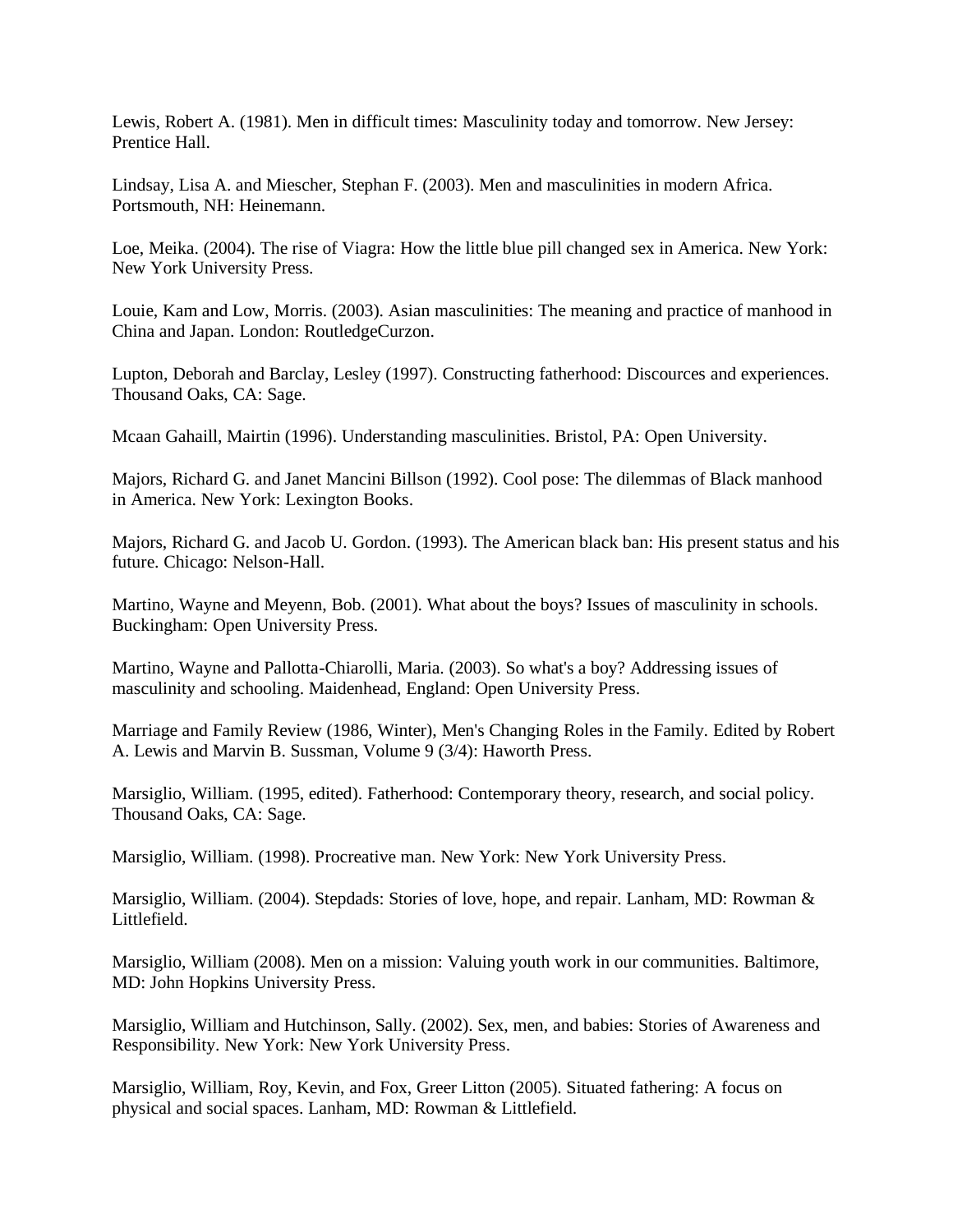Lewis, Robert A. (1981). Men in difficult times: Masculinity today and tomorrow. New Jersey: Prentice Hall.

Lindsay, Lisa A. and Miescher, Stephan F. (2003). Men and masculinities in modern Africa. Portsmouth, NH: Heinemann.

Loe, Meika. (2004). The rise of Viagra: How the little blue pill changed sex in America. New York: New York University Press.

Louie, Kam and Low, Morris. (2003). Asian masculinities: The meaning and practice of manhood in China and Japan. London: RoutledgeCurzon.

Lupton, Deborah and Barclay, Lesley (1997). Constructing fatherhood: Discources and experiences. Thousand Oaks, CA: Sage.

Mcaan Gahaill, Mairtin (1996). Understanding masculinities. Bristol, PA: Open University.

Majors, Richard G. and Janet Mancini Billson (1992). Cool pose: The dilemmas of Black manhood in America. New York: Lexington Books.

Majors, Richard G. and Jacob U. Gordon. (1993). The American black ban: His present status and his future. Chicago: Nelson-Hall.

Martino, Wayne and Meyenn, Bob. (2001). What about the boys? Issues of masculinity in schools. Buckingham: Open University Press.

Martino, Wayne and Pallotta-Chiarolli, Maria. (2003). So what's a boy? Addressing issues of masculinity and schooling. Maidenhead, England: Open University Press.

Marriage and Family Review (1986, Winter), Men's Changing Roles in the Family. Edited by Robert A. Lewis and Marvin B. Sussman, Volume 9 (3/4): Haworth Press.

Marsiglio, William. (1995, edited). Fatherhood: Contemporary theory, research, and social policy. Thousand Oaks, CA: Sage.

Marsiglio, William. (1998). Procreative man. New York: New York University Press.

Marsiglio, William. (2004). Stepdads: Stories of love, hope, and repair. Lanham, MD: Rowman & Littlefield.

Marsiglio, William (2008). Men on a mission: Valuing youth work in our communities. Baltimore, MD: John Hopkins University Press.

Marsiglio, William and Hutchinson, Sally. (2002). Sex, men, and babies: Stories of Awareness and Responsibility. New York: New York University Press.

Marsiglio, William, Roy, Kevin, and Fox, Greer Litton (2005). Situated fathering: A focus on physical and social spaces. Lanham, MD: Rowman & Littlefield.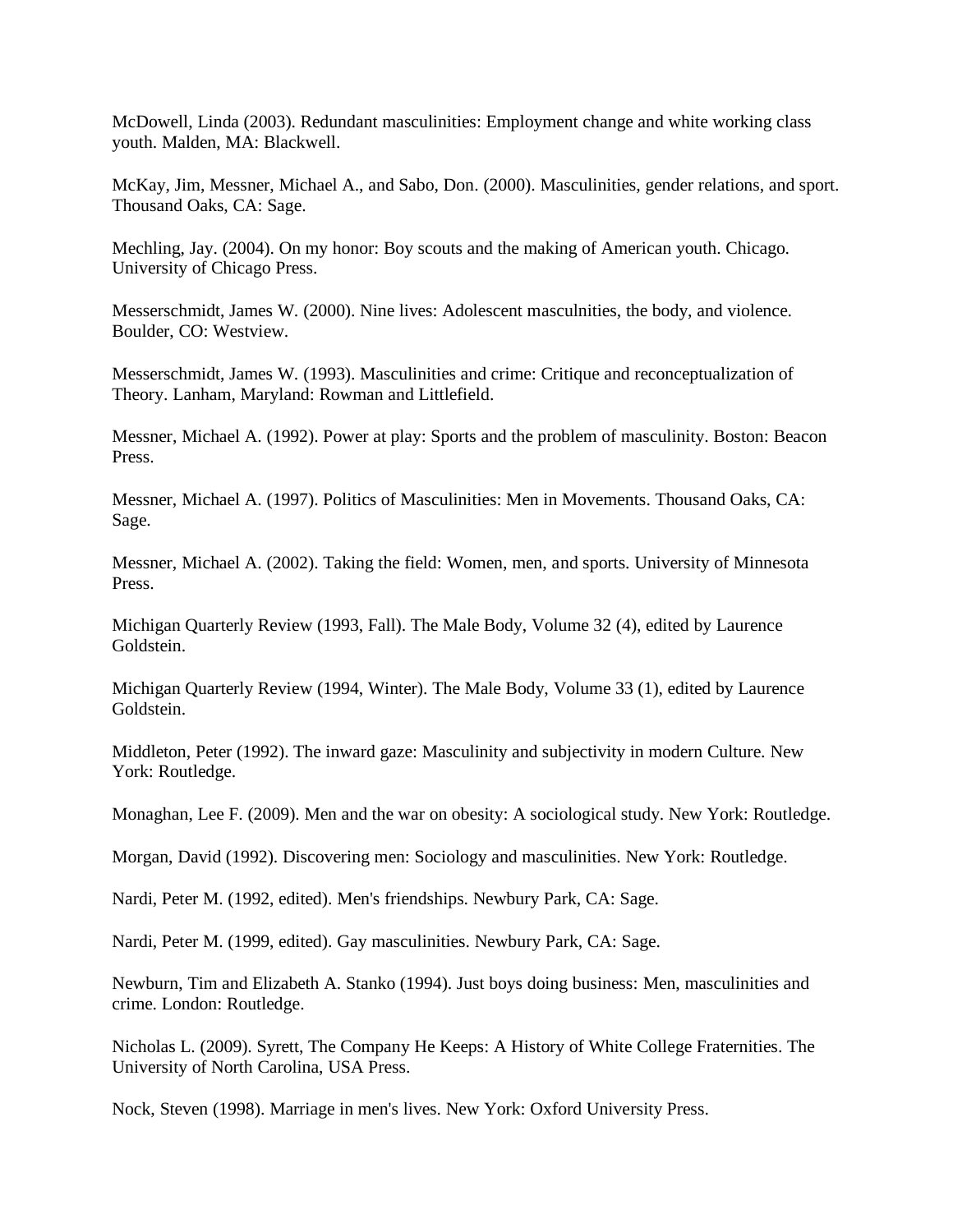McDowell, Linda (2003). Redundant masculinities: Employment change and white working class youth. Malden, MA: Blackwell.

McKay, Jim, Messner, Michael A., and Sabo, Don. (2000). Masculinities, gender relations, and sport. Thousand Oaks, CA: Sage.

Mechling, Jay. (2004). On my honor: Boy scouts and the making of American youth. Chicago. University of Chicago Press.

Messerschmidt, James W. (2000). Nine lives: Adolescent masculnities, the body, and violence. Boulder, CO: Westview.

Messerschmidt, James W. (1993). Masculinities and crime: Critique and reconceptualization of Theory. Lanham, Maryland: Rowman and Littlefield.

Messner, Michael A. (1992). Power at play: Sports and the problem of masculinity. Boston: Beacon Press.

Messner, Michael A. (1997). Politics of Masculinities: Men in Movements. Thousand Oaks, CA: Sage.

Messner, Michael A. (2002). Taking the field: Women, men, and sports. University of Minnesota Press.

Michigan Quarterly Review (1993, Fall). The Male Body, Volume 32 (4), edited by Laurence Goldstein.

Michigan Quarterly Review (1994, Winter). The Male Body, Volume 33 (1), edited by Laurence Goldstein.

Middleton, Peter (1992). The inward gaze: Masculinity and subjectivity in modern Culture. New York: Routledge.

Monaghan, Lee F. (2009). Men and the war on obesity: A sociological study. New York: Routledge.

Morgan, David (1992). Discovering men: Sociology and masculinities. New York: Routledge.

Nardi, Peter M. (1992, edited). Men's friendships. Newbury Park, CA: Sage.

Nardi, Peter M. (1999, edited). Gay masculinities. Newbury Park, CA: Sage.

Newburn, Tim and Elizabeth A. Stanko (1994). Just boys doing business: Men, masculinities and crime. London: Routledge.

Nicholas L. (2009). Syrett, The Company He Keeps: A History of White College Fraternities. The University of North Carolina, USA Press.

Nock, Steven (1998). Marriage in men's lives. New York: Oxford University Press.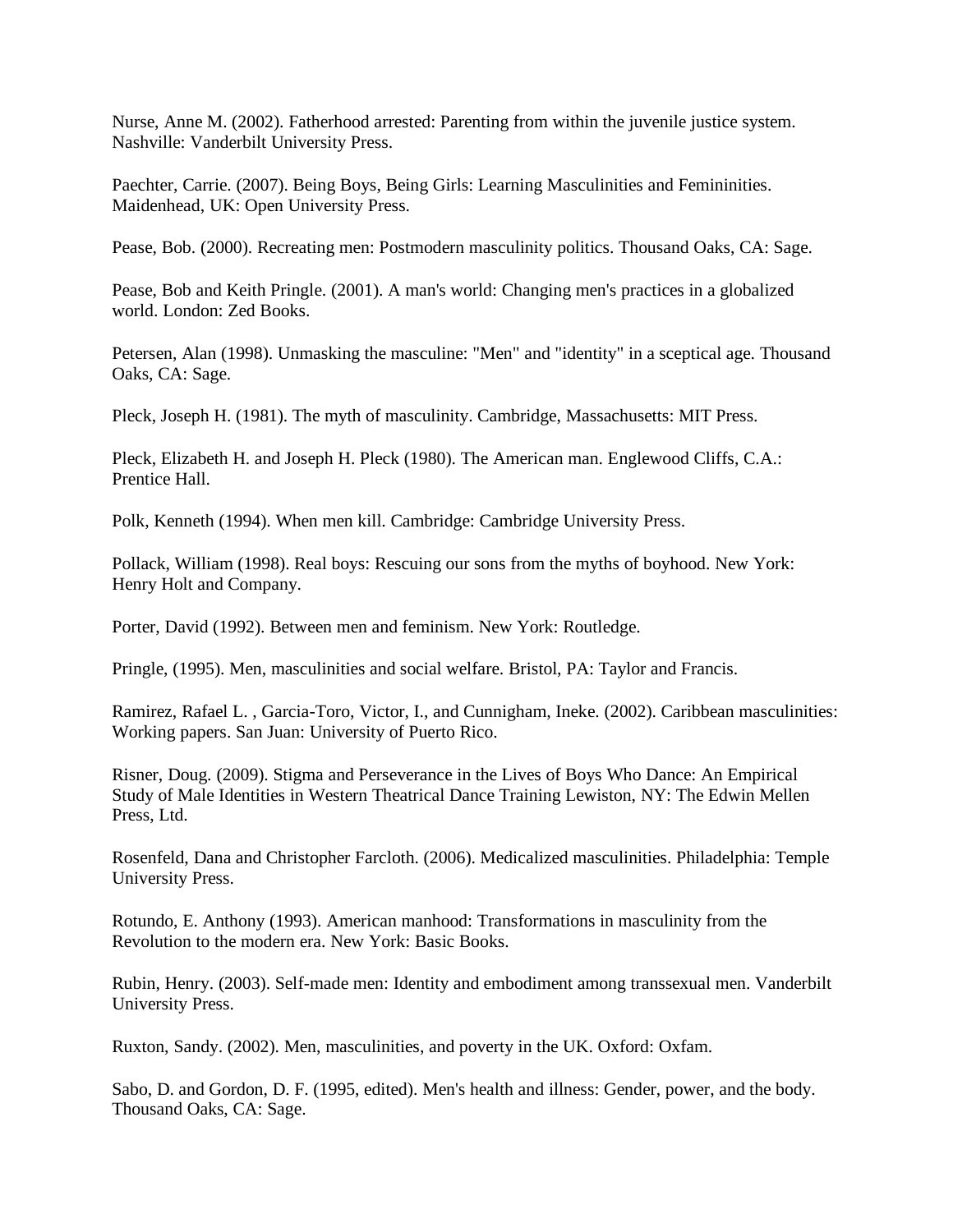Nurse, Anne M. (2002). Fatherhood arrested: Parenting from within the juvenile justice system. Nashville: Vanderbilt University Press.

Paechter, Carrie. (2007). Being Boys, Being Girls: Learning Masculinities and Femininities. Maidenhead, UK: Open University Press.

Pease, Bob. (2000). Recreating men: Postmodern masculinity politics. Thousand Oaks, CA: Sage.

Pease, Bob and Keith Pringle. (2001). A man's world: Changing men's practices in a globalized world. London: Zed Books.

Petersen, Alan (1998). Unmasking the masculine: "Men" and "identity" in a sceptical age. Thousand Oaks, CA: Sage.

Pleck, Joseph H. (1981). The myth of masculinity. Cambridge, Massachusetts: MIT Press.

Pleck, Elizabeth H. and Joseph H. Pleck (1980). The American man. Englewood Cliffs, C.A.: Prentice Hall.

Polk, Kenneth (1994). When men kill. Cambridge: Cambridge University Press.

Pollack, William (1998). Real boys: Rescuing our sons from the myths of boyhood. New York: Henry Holt and Company.

Porter, David (1992). Between men and feminism. New York: Routledge.

Pringle, (1995). Men, masculinities and social welfare. Bristol, PA: Taylor and Francis.

Ramirez, Rafael L. , Garcia-Toro, Victor, I., and Cunnigham, Ineke. (2002). Caribbean masculinities: Working papers. San Juan: University of Puerto Rico.

Risner, Doug. (2009). Stigma and Perseverance in the Lives of Boys Who Dance: An Empirical Study of Male Identities in Western Theatrical Dance Training Lewiston, NY: The Edwin Mellen Press, Ltd.

Rosenfeld, Dana and Christopher Farcloth. (2006). Medicalized masculinities. Philadelphia: Temple University Press.

Rotundo, E. Anthony (1993). American manhood: Transformations in masculinity from the Revolution to the modern era. New York: Basic Books.

Rubin, Henry. (2003). Self-made men: Identity and embodiment among transsexual men. Vanderbilt University Press.

Ruxton, Sandy. (2002). Men, masculinities, and poverty in the UK. Oxford: Oxfam.

Sabo, D. and Gordon, D. F. (1995, edited). Men's health and illness: Gender, power, and the body. Thousand Oaks, CA: Sage.